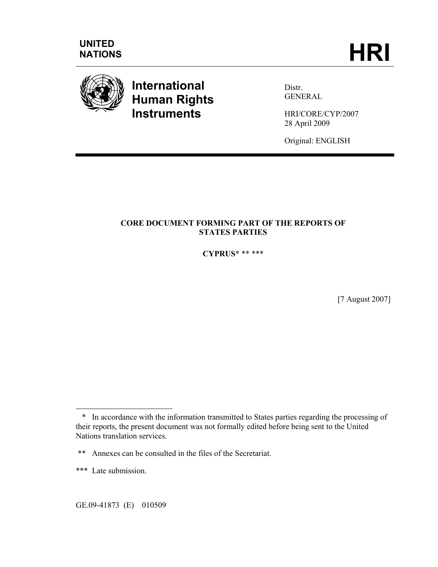

# **International Human Rights Instruments**

Distr. **GENERAL** 

HRI/CORE/CYP/2007 28 April 2009

Original: ENGLISH

## **CORE DOCUMENT FORMING PART OF THE REPORTS OF STATES PARTIES**

**CYPRUS**\* \*\* \*\*\*

[7 August 2007]

 $\overline{a}$ 

 <sup>\*</sup> In accordance with the information transmitted to States parties regarding the processing of their reports, the present document was not formally edited before being sent to the United Nations translation services.

<sup>\*\*</sup> Annexes can be consulted in the files of the Secretariat.

<sup>\*\*\*</sup> Late submission.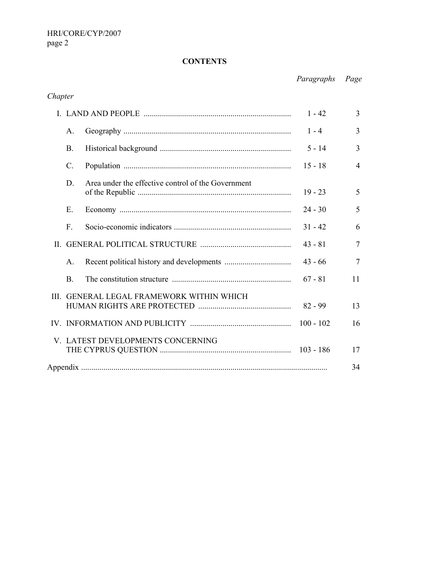## **CONTENTS**

*Paragraphs Page*

## *Chapter*

| $1 - 42$                                               |                                                    |           | 3              |
|--------------------------------------------------------|----------------------------------------------------|-----------|----------------|
| A.                                                     |                                                    | $1 - 4$   | 3              |
| B.                                                     |                                                    | $5 - 14$  | 3              |
| $\mathcal{C}$ .                                        |                                                    | $15 - 18$ | $\overline{4}$ |
| D                                                      | Area under the effective control of the Government | $19 - 23$ | 5              |
| E.                                                     |                                                    | $24 - 30$ | 5              |
| F.                                                     |                                                    | $31 - 42$ | 6              |
|                                                        |                                                    | $43 - 81$ | $\overline{7}$ |
| $\mathsf{A}$ .                                         |                                                    | $43 - 66$ | $\overline{7}$ |
| <b>B</b> .                                             |                                                    | $67 - 81$ | 11             |
| III. GENERAL LEGAL FRAMEWORK WITHIN WHICH<br>$82 - 99$ |                                                    | 13        |                |
| $100 - 102$                                            |                                                    | 16        |                |
| V. LATEST DEVELOPMENTS CONCERNING<br>$103 - 186$       |                                                    |           | 17             |
|                                                        |                                                    |           |                |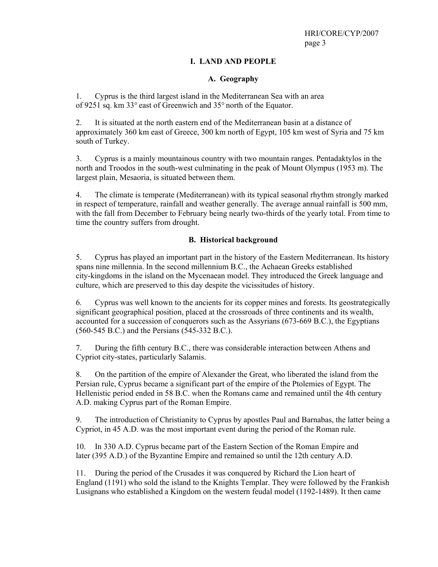### **I. LAND AND PEOPLE**

#### **A. Geography**

1. Cyprus is the third largest island in the Mediterranean Sea with an area of 9251 sq. km 33° east of Greenwich and 35° north of the Equator.

2. It is situated at the north eastern end of the Mediterranean basin at a distance of approximately 360 km east of Greece, 300 km north of Egypt, 105 km west of Syria and 75 km south of Turkey.

3. Cyprus is a mainly mountainous country with two mountain ranges. Pentadaktylos in the north and Troodos in the south-west culminating in the peak of Mount Olympus (1953 m). The largest plain, Mesaoria, is situated between them.

4. The climate is temperate (Mediterranean) with its typical seasonal rhythm strongly marked in respect of temperature, rainfall and weather generally. The average annual rainfall is 500 mm, with the fall from December to February being nearly two-thirds of the yearly total. From time to time the country suffers from drought.

#### **B. Historical background**

5. Cyprus has played an important part in the history of the Eastern Mediterranean. Its history spans nine millennia. In the second millennium B.C., the Achaean Greeks established city-kingdoms in the island on the Mycenaean model. They introduced the Greek language and culture, which are preserved to this day despite the vicissitudes of history.

6. Cyprus was well known to the ancients for its copper mines and forests. Its geostrategically significant geographical position, placed at the crossroads of three continents and its wealth, accounted for a succession of conquerors such as the Assyrians (673-669 B.C.), the Egyptians (560-545 B.C.) and the Persians (545-332 B.C.).

7. During the fifth century B.C., there was considerable interaction between Athens and Cypriot city-states, particularly Salamis.

8. On the partition of the empire of Alexander the Great, who liberated the island from the Persian rule, Cyprus became a significant part of the empire of the Ptolemies of Egypt. The Hellenistic period ended in 58 B.C. when the Romans came and remained until the 4th century A.D. making Cyprus part of the Roman Empire.

9. The introduction of Christianity to Cyprus by apostles Paul and Barnabas, the latter being a Cypriot, in 45 A.D. was the most important event during the period of the Roman rule.

10. In 330 A.D. Cyprus became part of the Eastern Section of the Roman Empire and later (395 A.D.) of the Byzantine Empire and remained so until the 12th century A.D.

11. During the period of the Crusades it was conquered by Richard the Lion heart of England (1191) who sold the island to the Knights Templar. They were followed by the Frankish Lusignans who established a Kingdom on the western feudal model (1192-1489). It then came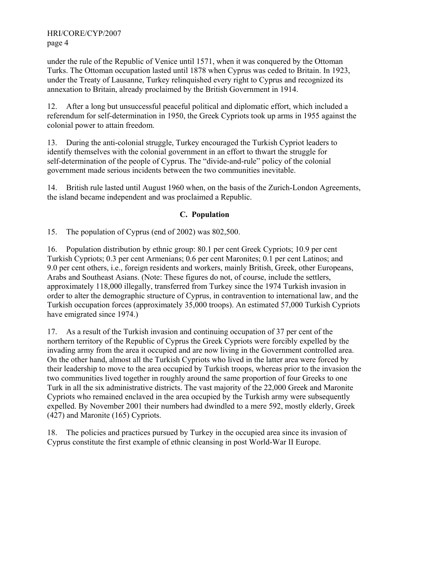under the rule of the Republic of Venice until 1571, when it was conquered by the Ottoman Turks. The Ottoman occupation lasted until 1878 when Cyprus was ceded to Britain. In 1923, under the Treaty of Lausanne, Turkey relinquished every right to Cyprus and recognized its annexation to Britain, already proclaimed by the British Government in 1914.

12. After a long but unsuccessful peaceful political and diplomatic effort, which included a referendum for self-determination in 1950, the Greek Cypriots took up arms in 1955 against the colonial power to attain freedom.

13. During the anti-colonial struggle, Turkey encouraged the Turkish Cypriot leaders to identify themselves with the colonial government in an effort to thwart the struggle for self-determination of the people of Cyprus. The "divide-and-rule" policy of the colonial government made serious incidents between the two communities inevitable.

14. British rule lasted until August 1960 when, on the basis of the Zurich-London Agreements, the island became independent and was proclaimed a Republic.

#### **C. Population**

15. The population of Cyprus (end of 2002) was 802,500.

16. Population distribution by ethnic group: 80.1 per cent Greek Cypriots; 10.9 per cent Turkish Cypriots; 0.3 per cent Armenians; 0.6 per cent Maronites; 0.1 per cent Latinos; and 9.0 per cent others, i.e., foreign residents and workers, mainly British, Greek, other Europeans, Arabs and Southeast Asians. (Note: These figures do not, of course, include the settlers, approximately 118,000 illegally, transferred from Turkey since the 1974 Turkish invasion in order to alter the demographic structure of Cyprus, in contravention to international law, and the Turkish occupation forces (approximately 35,000 troops). An estimated 57,000 Turkish Cypriots have emigrated since 1974.)

17. As a result of the Turkish invasion and continuing occupation of 37 per cent of the northern territory of the Republic of Cyprus the Greek Cypriots were forcibly expelled by the invading army from the area it occupied and are now living in the Government controlled area. On the other hand, almost all the Turkish Cypriots who lived in the latter area were forced by their leadership to move to the area occupied by Turkish troops, whereas prior to the invasion the two communities lived together in roughly around the same proportion of four Greeks to one Turk in all the six administrative districts. The vast majority of the 22,000 Greek and Maronite Cypriots who remained enclaved in the area occupied by the Turkish army were subsequently expelled. By November 2001 their numbers had dwindled to a mere 592, mostly elderly, Greek (427) and Maronite (165) Cypriots.

18. The policies and practices pursued by Turkey in the occupied area since its invasion of Cyprus constitute the first example of ethnic cleansing in post World-War II Europe.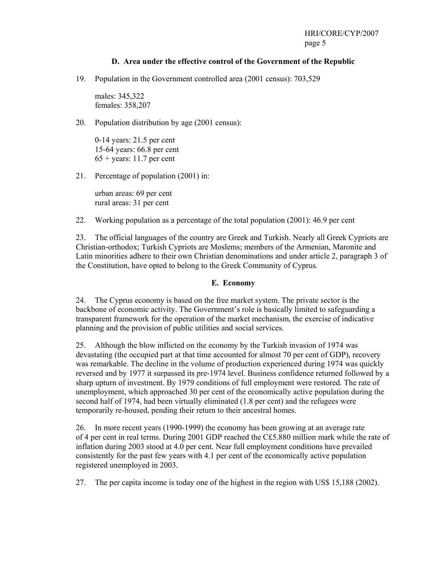#### **D. Area under the effective control of the Government of the Republic**

19. Population in the Government controlled area (2001 census): 703,529

males: 345,322 females: 358,207

20. Population distribution by age (2001 census):

0-14 years: 21.5 per cent 15-64 years: 66.8 per cent  $65 + \text{years: } 11.7$  per cent

21. Percentage of population (2001) in:

urban areas: 69 per cent rural areas: 31 per cent

22. Working population as a percentage of the total population (2001): 46.9 per cent

23. The official languages of the country are Greek and Turkish. Nearly all Greek Cypriots are Christian-orthodox; Turkish Cypriots are Moslems; members of the Armenian, Maronite and Latin minorities adhere to their own Christian denominations and under article 2, paragraph 3 of the Constitution, have opted to belong to the Greek Community of Cyprus.

#### **E. Economy**

24. The Cyprus economy is based on the free market system. The private sector is the backbone of economic activity. The Government's role is basically limited to safeguarding a transparent framework for the operation of the market mechanism, the exercise of indicative planning and the provision of public utilities and social services.

25. Although the blow inflicted on the economy by the Turkish invasion of 1974 was devastating (the occupied part at that time accounted for almost 70 per cent of GDP), recovery was remarkable. The decline in the volume of production experienced during 1974 was quickly reversed and by 1977 it surpassed its pre-1974 level. Business confidence returned followed by a sharp upturn of investment. By 1979 conditions of full employment were restored. The rate of unemployment, which approached 30 per cent of the economically active population during the second half of 1974, had been virtually eliminated (1.8 per cent) and the refugees were temporarily re-housed, pending their return to their ancestral homes.

26. In more recent years (1990-1999) the economy has been growing at an average rate of 4 per cent in real terms. During 2001 GDP reached the C£5.880 million mark while the rate of inflation during 2003 stood at 4.0 per cent. Near full employment conditions have prevailed consistently for the past few years with 4.1 per cent of the economically active population registered unemployed in 2003.

27. The per capita income is today one of the highest in the region with US\$ 15,188 (2002).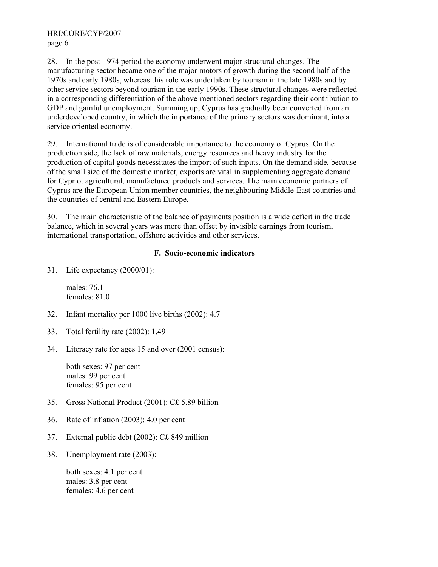28. In the post-1974 period the economy underwent major structural changes. The manufacturing sector became one of the major motors of growth during the second half of the 1970s and early 1980s, whereas this role was undertaken by tourism in the late 1980s and by other service sectors beyond tourism in the early 1990s. These structural changes were reflected in a corresponding differentiation of the above-mentioned sectors regarding their contribution to GDP and gainful unemployment. Summing up, Cyprus has gradually been converted from an underdeveloped country, in which the importance of the primary sectors was dominant, into a service oriented economy.

29. International trade is of considerable importance to the economy of Cyprus. On the production side, the lack of raw materials, energy resources and heavy industry for the production of capital goods necessitates the import of such inputs. On the demand side, because of the small size of the domestic market, exports are vital in supplementing aggregate demand for Cypriot agricultural, manufactured products and services. The main economic partners of Cyprus are the European Union member countries, the neighbouring Middle-East countries and the countries of central and Eastern Europe.

30. The main characteristic of the balance of payments position is a wide deficit in the trade balance, which in several years was more than offset by invisible earnings from tourism, international transportation, offshore activities and other services.

#### **F. Socio-economic indicators**

31. Life expectancy (2000/01):

males: 76.1 females: 81.0

- 32. Infant mortality per 1000 live births (2002): 4.7
- 33. Total fertility rate (2002): 1.49
- 34. Literacy rate for ages 15 and over (2001 census):

both sexes: 97 per cent males: 99 per cent females: 95 per cent

- 35. Gross National Product (2001): C£ 5.89 billion
- 36. Rate of inflation (2003): 4.0 per cent
- 37. External public debt (2002): C£ 849 million
- 38. Unemployment rate (2003):

both sexes: 4.1 per cent males: 3.8 per cent females: 4.6 per cent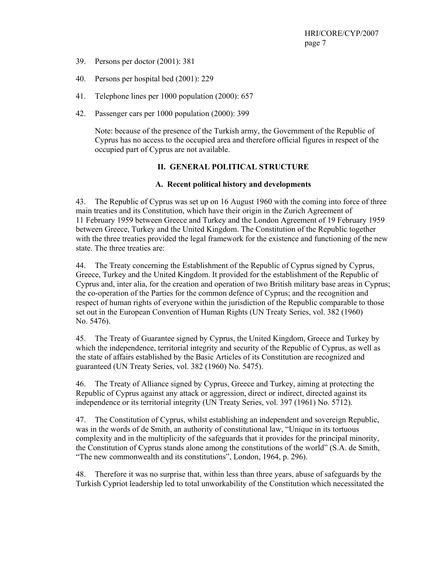- 39. Persons per doctor (2001): 381
- 40. Persons per hospital bed (2001): 229
- 41. Telephone lines per 1000 population (2000): 657
- 42. Passenger cars per 1000 population (2000): 399

Note: because of the presence of the Turkish army, the Government of the Republic of Cyprus has no access to the occupied area and therefore official figures in respect of the occupied part of Cyprus are not available.

#### **II. GENERAL POLITICAL STRUCTURE**

#### **A. Recent political history and developments**

43. The Republic of Cyprus was set up on 16 August 1960 with the coming into force of three main treaties and its Constitution, which have their origin in the Zurich Agreement of 11 February 1959 between Greece and Turkey and the London Agreement of 19 February 1959 between Greece, Turkey and the United Kingdom. The Constitution of the Republic together with the three treaties provided the legal framework for the existence and functioning of the new state. The three treaties are:

44. The Treaty concerning the Establishment of the Republic of Cyprus signed by Cyprus, Greece, Turkey and the United Kingdom. It provided for the establishment of the Republic of Cyprus and, inter alia, for the creation and operation of two British military base areas in Cyprus; the co-operation of the Parties for the common defence of Cyprus; and the recognition and respect of human rights of everyone within the jurisdiction of the Republic comparable to those set out in the European Convention of Human Rights (UN Treaty Series, vol. 382 (1960) No. 5476).

45. The Treaty of Guarantee signed by Cyprus, the United Kingdom, Greece and Turkey by which the independence, territorial integrity and security of the Republic of Cyprus, as well as the state of affairs established by the Basic Articles of its Constitution are recognized and guaranteed (UN Treaty Series, vol. 382 (1960) No. 5475).

46. The Treaty of Alliance signed by Cyprus, Greece and Turkey, aiming at protecting the Republic of Cyprus against any attack or aggression, direct or indirect, directed against its independence or its territorial integrity (UN Treaty Series, vol. 397 (1961) No. 5712).

47. The Constitution of Cyprus, whilst establishing an independent and sovereign Republic, was in the words of de Smith, an authority of constitutional law, "Unique in its tortuous complexity and in the multiplicity of the safeguards that it provides for the principal minority, the Constitution of Cyprus stands alone among the constitutions of the world" (S.A. de Smith, "The new commonwealth and its constitutions", London, 1964, p. 296).

48. Therefore it was no surprise that, within less than three years, abuse of safeguards by the Turkish Cypriot leadership led to total unworkability of the Constitution which necessitated the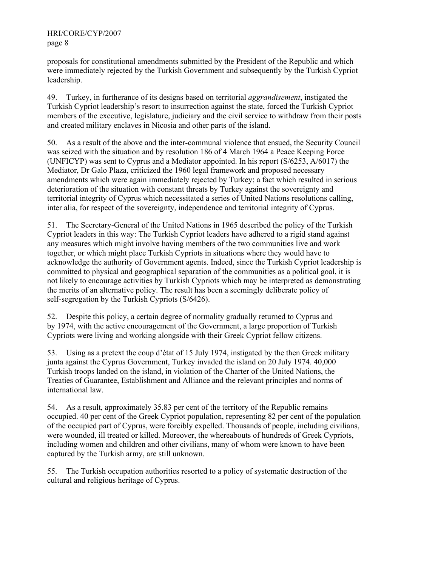proposals for constitutional amendments submitted by the President of the Republic and which were immediately rejected by the Turkish Government and subsequently by the Turkish Cypriot leadership.

49. Turkey, in furtherance of its designs based on territorial *aggrandisement*, instigated the Turkish Cypriot leadership's resort to insurrection against the state, forced the Turkish Cypriot members of the executive, legislature, judiciary and the civil service to withdraw from their posts and created military enclaves in Nicosia and other parts of the island.

50. As a result of the above and the inter-communal violence that ensued, the Security Council was seized with the situation and by resolution 186 of 4 March 1964 a Peace Keeping Force (UNFICYP) was sent to Cyprus and a Mediator appointed. In his report (S/6253, A/6017) the Mediator, Dr Galo Plaza, criticized the 1960 legal framework and proposed necessary amendments which were again immediately rejected by Turkey; a fact which resulted in serious deterioration of the situation with constant threats by Turkey against the sovereignty and territorial integrity of Cyprus which necessitated a series of United Nations resolutions calling, inter alia, for respect of the sovereignty, independence and territorial integrity of Cyprus.

51. The Secretary-General of the United Nations in 1965 described the policy of the Turkish Cypriot leaders in this way: The Turkish Cypriot leaders have adhered to a rigid stand against any measures which might involve having members of the two communities live and work together, or which might place Turkish Cypriots in situations where they would have to acknowledge the authority of Government agents. Indeed, since the Turkish Cypriot leadership is committed to physical and geographical separation of the communities as a political goal, it is not likely to encourage activities by Turkish Cypriots which may be interpreted as demonstrating the merits of an alternative policy. The result has been a seemingly deliberate policy of self-segregation by the Turkish Cypriots (S/6426).

52. Despite this policy, a certain degree of normality gradually returned to Cyprus and by 1974, with the active encouragement of the Government, a large proportion of Turkish Cypriots were living and working alongside with their Greek Cypriot fellow citizens.

53. Using as a pretext the coup d'état of 15 July 1974, instigated by the then Greek military junta against the Cyprus Government, Turkey invaded the island on 20 July 1974. 40,000 Turkish troops landed on the island, in violation of the Charter of the United Nations, the Treaties of Guarantee, Establishment and Alliance and the relevant principles and norms of international law.

54. As a result, approximately 35.83 per cent of the territory of the Republic remains occupied. 40 per cent of the Greek Cypriot population, representing 82 per cent of the population of the occupied part of Cyprus, were forcibly expelled. Thousands of people, including civilians, were wounded, ill treated or killed. Moreover, the whereabouts of hundreds of Greek Cypriots, including women and children and other civilians, many of whom were known to have been captured by the Turkish army, are still unknown.

55. The Turkish occupation authorities resorted to a policy of systematic destruction of the cultural and religious heritage of Cyprus.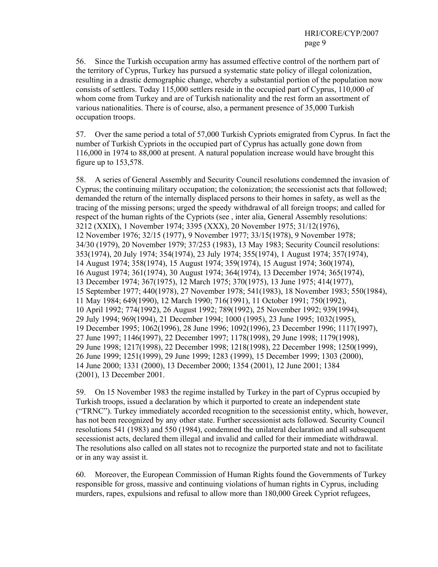56. Since the Turkish occupation army has assumed effective control of the northern part of the territory of Cyprus, Turkey has pursued a systematic state policy of illegal colonization, resulting in a drastic demographic change, whereby a substantial portion of the population now consists of settlers. Today 115,000 settlers reside in the occupied part of Cyprus, 110,000 of whom come from Turkey and are of Turkish nationality and the rest form an assortment of various nationalities. There is of course, also, a permanent presence of 35,000 Turkish occupation troops.

57. Over the same period a total of 57,000 Turkish Cypriots emigrated from Cyprus. In fact the number of Turkish Cypriots in the occupied part of Cyprus has actually gone down from 116,000 in 1974 to 88,000 at present. A natural population increase would have brought this figure up to 153,578.

58. A series of General Assembly and Security Council resolutions condemned the invasion of Cyprus; the continuing military occupation; the colonization; the secessionist acts that followed; demanded the return of the internally displaced persons to their homes in safety, as well as the tracing of the missing persons; urged the speedy withdrawal of all foreign troops; and called for respect of the human rights of the Cypriots (see , inter alia, General Assembly resolutions: 3212 (XXIX), 1 November 1974; 3395 (XXX), 20 November 1975; 31/12(1976), 12 November 1976; 32/15 (1977), 9 November 1977; 33/15(1978), 9 November 1978; 34/30 (1979), 20 November 1979; 37/253 (1983), 13 May 1983; Security Council resolutions: 353(1974), 20 July 1974; 354(1974), 23 July 1974; 355(1974), 1 August 1974; 357(1974), 14 August 1974; 358(1974), 15 August 1974; 359(1974), 15 August 1974; 360(1974), 16 August 1974; 361(1974), 30 August 1974; 364(1974), 13 December 1974; 365(1974), 13 December 1974; 367(1975), 12 March 1975; 370(1975), 13 June 1975; 414(1977), 15 September 1977; 440(1978), 27 November 1978; 541(1983), 18 November 1983; 550(1984), 11 May 1984; 649(1990), 12 March 1990; 716(1991), 11 October 1991; 750(1992), 10 April 1992; 774(1992), 26 August 1992; 789(1992), 25 November 1992; 939(1994), 29 July 1994; 969(1994), 21 December 1994; 1000 (1995), 23 June 1995; 1032(1995), 19 December 1995; 1062(1996), 28 June 1996; 1092(1996), 23 December 1996; 1117(1997), 27 June 1997; 1146(1997), 22 December 1997; 1178(1998), 29 June 1998; 1179(1998), 29 June 1998; 1217(1998), 22 December 1998; 1218(1998), 22 December 1998; 1250(1999), 26 June 1999; 1251(1999), 29 June 1999; 1283 (1999), 15 December 1999; 1303 (2000), 14 June 2000; 1331 (2000), 13 December 2000; 1354 (2001), 12 June 2001; 1384 (2001), 13 December 2001.

59. On 15 November 1983 the regime installed by Turkey in the part of Cyprus occupied by Turkish troops, issued a declaration by which it purported to create an independent state ("TRNC"). Turkey immediately accorded recognition to the secessionist entity, which, however, has not been recognized by any other state. Further secessionist acts followed. Security Council resolutions 541 (1983) and 550 (1984), condemned the unilateral declaration and all subsequent secessionist acts, declared them illegal and invalid and called for their immediate withdrawal. The resolutions also called on all states not to recognize the purported state and not to facilitate or in any way assist it.

60. Moreover, the European Commission of Human Rights found the Governments of Turkey responsible for gross, massive and continuing violations of human rights in Cyprus, including murders, rapes, expulsions and refusal to allow more than 180,000 Greek Cypriot refugees,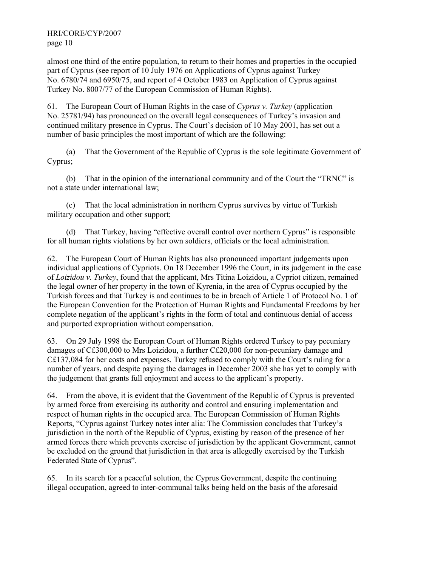almost one third of the entire population, to return to their homes and properties in the occupied part of Cyprus (see report of 10 July 1976 on Applications of Cyprus against Turkey No. 6780/74 and 6950/75, and report of 4 October 1983 on Application of Cyprus against Turkey No. 8007/77 of the European Commission of Human Rights).

61. The European Court of Human Rights in the case of *Cyprus v. Turkey* (application No. 25781/94) has pronounced on the overall legal consequences of Turkey's invasion and continued military presence in Cyprus. The Court's decision of 10 May 2001, has set out a number of basic principles the most important of which are the following:

 (a) That the Government of the Republic of Cyprus is the sole legitimate Government of Cyprus;

 (b) That in the opinion of the international community and of the Court the "TRNC" is not a state under international law;

 (c) That the local administration in northern Cyprus survives by virtue of Turkish military occupation and other support;

 (d) That Turkey, having "effective overall control over northern Cyprus" is responsible for all human rights violations by her own soldiers, officials or the local administration.

62. The European Court of Human Rights has also pronounced important judgements upon individual applications of Cypriots. On 18 December 1996 the Court, in its judgement in the case of *Loizidou v. Turkey*, found that the applicant, Mrs Titina Loizidou, a Cypriot citizen, remained the legal owner of her property in the town of Kyrenia, in the area of Cyprus occupied by the Turkish forces and that Turkey is and continues to be in breach of Article 1 of Protocol No. 1 of the European Convention for the Protection of Human Rights and Fundamental Freedoms by her complete negation of the applicant's rights in the form of total and continuous denial of access and purported expropriation without compensation.

63. On 29 July 1998 the European Court of Human Rights ordered Turkey to pay pecuniary damages of C£300,000 to Mrs Loizidou, a further C£20,000 for non-pecuniary damage and C£137,084 for her costs and expenses. Turkey refused to comply with the Court's ruling for a number of years, and despite paying the damages in December 2003 she has yet to comply with the judgement that grants full enjoyment and access to the applicant's property.

64. From the above, it is evident that the Government of the Republic of Cyprus is prevented by armed force from exercising its authority and control and ensuring implementation and respect of human rights in the occupied area. The European Commission of Human Rights Reports, "Cyprus against Turkey notes inter alia: The Commission concludes that Turkey's jurisdiction in the north of the Republic of Cyprus, existing by reason of the presence of her armed forces there which prevents exercise of jurisdiction by the applicant Government, cannot be excluded on the ground that jurisdiction in that area is allegedly exercised by the Turkish Federated State of Cyprus".

65. In its search for a peaceful solution, the Cyprus Government, despite the continuing illegal occupation, agreed to inter-communal talks being held on the basis of the aforesaid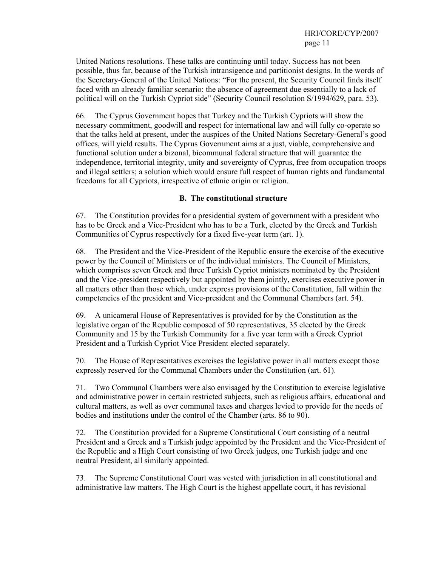United Nations resolutions. These talks are continuing until today. Success has not been possible, thus far, because of the Turkish intransigence and partitionist designs. In the words of the Secretary-General of the United Nations: "For the present, the Security Council finds itself faced with an already familiar scenario: the absence of agreement due essentially to a lack of political will on the Turkish Cypriot side" (Security Council resolution S/1994/629, para. 53).

66. The Cyprus Government hopes that Turkey and the Turkish Cypriots will show the necessary commitment, goodwill and respect for international law and will fully co-operate so that the talks held at present, under the auspices of the United Nations Secretary-General's good offices, will yield results. The Cyprus Government aims at a just, viable, comprehensive and functional solution under a bizonal, bicommunal federal structure that will guarantee the independence, territorial integrity, unity and sovereignty of Cyprus, free from occupation troops and illegal settlers; a solution which would ensure full respect of human rights and fundamental freedoms for all Cypriots, irrespective of ethnic origin or religion.

#### **B. The constitutional structure**

67. The Constitution provides for a presidential system of government with a president who has to be Greek and a Vice-President who has to be a Turk, elected by the Greek and Turkish Communities of Cyprus respectively for a fixed five-year term (art. 1).

68. The President and the Vice-President of the Republic ensure the exercise of the executive power by the Council of Ministers or of the individual ministers. The Council of Ministers, which comprises seven Greek and three Turkish Cypriot ministers nominated by the President and the Vice-president respectively but appointed by them jointly, exercises executive power in all matters other than those which, under express provisions of the Constitution, fall within the competencies of the president and Vice-president and the Communal Chambers (art. 54).

69. A unicameral House of Representatives is provided for by the Constitution as the legislative organ of the Republic composed of 50 representatives, 35 elected by the Greek Community and 15 by the Turkish Community for a five year term with a Greek Cypriot President and a Turkish Cypriot Vice President elected separately.

70. The House of Representatives exercises the legislative power in all matters except those expressly reserved for the Communal Chambers under the Constitution (art. 61).

71. Two Communal Chambers were also envisaged by the Constitution to exercise legislative and administrative power in certain restricted subjects, such as religious affairs, educational and cultural matters, as well as over communal taxes and charges levied to provide for the needs of bodies and institutions under the control of the Chamber (arts. 86 to 90).

72. The Constitution provided for a Supreme Constitutional Court consisting of a neutral President and a Greek and a Turkish judge appointed by the President and the Vice-President of the Republic and a High Court consisting of two Greek judges, one Turkish judge and one neutral President, all similarly appointed.

73. The Supreme Constitutional Court was vested with jurisdiction in all constitutional and administrative law matters. The High Court is the highest appellate court, it has revisional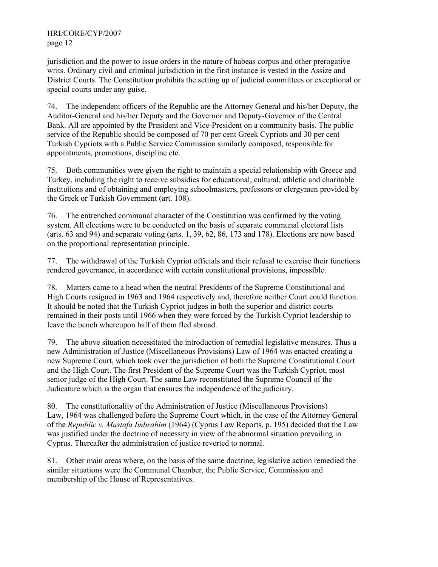jurisdiction and the power to issue orders in the nature of habeas corpus and other prerogative writs. Ordinary civil and criminal jurisdiction in the first instance is vested in the Assize and District Courts. The Constitution prohibits the setting up of judicial committees or exceptional or special courts under any guise.

74. The independent officers of the Republic are the Attorney General and his/her Deputy, the Auditor-General and his/her Deputy and the Governor and Deputy-Governor of the Central Bank. All are appointed by the President and Vice-President on a community basis. The public service of the Republic should be composed of 70 per cent Greek Cypriots and 30 per cent Turkish Cypriots with a Public Service Commission similarly composed, responsible for appointments, promotions, discipline etc.

75. Both communities were given the right to maintain a special relationship with Greece and Turkey, including the right to receive subsidies for educational, cultural, athletic and charitable institutions and of obtaining and employing schoolmasters, professors or clergymen provided by the Greek or Turkish Government (art. 108).

76. The entrenched communal character of the Constitution was confirmed by the voting system. All elections were to be conducted on the basis of separate communal electoral lists (arts. 63 and 94) and separate voting (arts. 1, 39, 62, 86, 173 and 178). Elections are now based on the proportional representation principle.

77. The withdrawal of the Turkish Cypriot officials and their refusal to exercise their functions rendered governance, in accordance with certain constitutional provisions, impossible.

78. Matters came to a head when the neutral Presidents of the Supreme Constitutional and High Courts resigned in 1963 and 1964 respectively and, therefore neither Court could function. It should be noted that the Turkish Cypriot judges in both the superior and district courts remained in their posts until 1966 when they were forced by the Turkish Cypriot leadership to leave the bench whereupon half of them fled abroad.

79. The above situation necessitated the introduction of remedial legislative measures. Thus a new Administration of Justice (Miscellaneous Provisions) Law of 1964 was enacted creating a new Supreme Court, which took over the jurisdiction of both the Supreme Constitutional Court and the High Court. The first President of the Supreme Court was the Turkish Cypriot, most senior judge of the High Court. The same Law reconstituted the Supreme Council of the Judicature which is the organ that ensures the independence of the judiciary.

80. The constitutionality of the Administration of Justice (Miscellaneous Provisions) Law, 1964 was challenged before the Supreme Court which, in the case of the Attorney General of the *Republic v. Mustafa Imbrahim* (1964) (Cyprus Law Reports, p. 195) decided that the Law was justified under the doctrine of necessity in view of the abnormal situation prevailing in Cyprus. Thereafter the administration of justice reverted to normal.

81. Other main areas where, on the basis of the same doctrine, legislative action remedied the similar situations were the Communal Chamber, the Public Service, Commission and membership of the House of Representatives.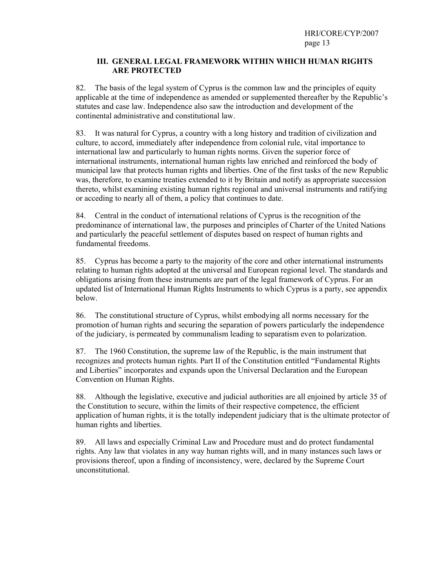#### **III. GENERAL LEGAL FRAMEWORK WITHIN WHICH HUMAN RIGHTS ARE PROTECTED**

82. The basis of the legal system of Cyprus is the common law and the principles of equity applicable at the time of independence as amended or supplemented thereafter by the Republic's statutes and case law. Independence also saw the introduction and development of the continental administrative and constitutional law.

83. It was natural for Cyprus, a country with a long history and tradition of civilization and culture, to accord, immediately after independence from colonial rule, vital importance to international law and particularly to human rights norms. Given the superior force of international instruments, international human rights law enriched and reinforced the body of municipal law that protects human rights and liberties. One of the first tasks of the new Republic was, therefore, to examine treaties extended to it by Britain and notify as appropriate succession thereto, whilst examining existing human rights regional and universal instruments and ratifying or acceding to nearly all of them, a policy that continues to date.

84. Central in the conduct of international relations of Cyprus is the recognition of the predominance of international law, the purposes and principles of Charter of the United Nations and particularly the peaceful settlement of disputes based on respect of human rights and fundamental freedoms.

85. Cyprus has become a party to the majority of the core and other international instruments relating to human rights adopted at the universal and European regional level. The standards and obligations arising from these instruments are part of the legal framework of Cyprus. For an updated list of International Human Rights Instruments to which Cyprus is a party, see appendix below.

86. The constitutional structure of Cyprus, whilst embodying all norms necessary for the promotion of human rights and securing the separation of powers particularly the independence of the judiciary, is permeated by communalism leading to separatism even to polarization.

87. The 1960 Constitution, the supreme law of the Republic, is the main instrument that recognizes and protects human rights. Part II of the Constitution entitled "Fundamental Rights and Liberties" incorporates and expands upon the Universal Declaration and the European Convention on Human Rights.

88. Although the legislative, executive and judicial authorities are all enjoined by article 35 of the Constitution to secure, within the limits of their respective competence, the efficient application of human rights, it is the totally independent judiciary that is the ultimate protector of human rights and liberties.

89. All laws and especially Criminal Law and Procedure must and do protect fundamental rights. Any law that violates in any way human rights will, and in many instances such laws or provisions thereof, upon a finding of inconsistency, were, declared by the Supreme Court unconstitutional.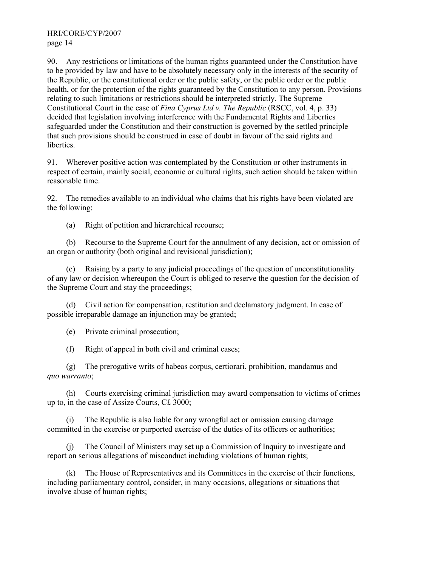90. Any restrictions or limitations of the human rights guaranteed under the Constitution have to be provided by law and have to be absolutely necessary only in the interests of the security of the Republic, or the constitutional order or the public safety, or the public order or the public health, or for the protection of the rights guaranteed by the Constitution to any person. Provisions relating to such limitations or restrictions should be interpreted strictly. The Supreme Constitutional Court in the case of *Fina Cyprus Ltd v. The Republic* (RSCC, vol. 4, p. 33) decided that legislation involving interference with the Fundamental Rights and Liberties safeguarded under the Constitution and their construction is governed by the settled principle that such provisions should be construed in case of doubt in favour of the said rights and liberties.

91. Wherever positive action was contemplated by the Constitution or other instruments in respect of certain, mainly social, economic or cultural rights, such action should be taken within reasonable time.

92. The remedies available to an individual who claims that his rights have been violated are the following:

(a) Right of petition and hierarchical recourse;

 (b) Recourse to the Supreme Court for the annulment of any decision, act or omission of an organ or authority (both original and revisional jurisdiction);

 (c) Raising by a party to any judicial proceedings of the question of unconstitutionality of any law or decision whereupon the Court is obliged to reserve the question for the decision of the Supreme Court and stay the proceedings;

 (d) Civil action for compensation, restitution and declamatory judgment. In case of possible irreparable damage an injunction may be granted;

(e) Private criminal prosecution;

(f) Right of appeal in both civil and criminal cases;

 (g) The prerogative writs of habeas corpus, certiorari, prohibition, mandamus and *quo warranto*;

 (h) Courts exercising criminal jurisdiction may award compensation to victims of crimes up to, in the case of Assize Courts, C£ 3000;

 (i) The Republic is also liable for any wrongful act or omission causing damage committed in the exercise or purported exercise of the duties of its officers or authorities;

 (j) The Council of Ministers may set up a Commission of Inquiry to investigate and report on serious allegations of misconduct including violations of human rights;

 (k) The House of Representatives and its Committees in the exercise of their functions, including parliamentary control, consider, in many occasions, allegations or situations that involve abuse of human rights;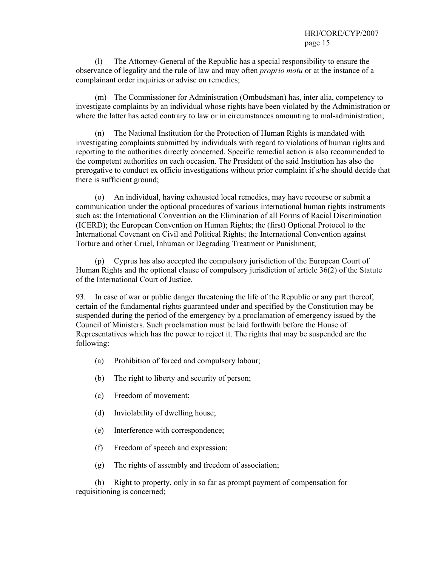(l) The Attorney-General of the Republic has a special responsibility to ensure the observance of legality and the rule of law and may often *proprio motu* or at the instance of a complainant order inquiries or advise on remedies;

 (m) The Commissioner for Administration (Ombudsman) has, inter alia, competency to investigate complaints by an individual whose rights have been violated by the Administration or where the latter has acted contrary to law or in circumstances amounting to mal-administration;

The National Institution for the Protection of Human Rights is mandated with investigating complaints submitted by individuals with regard to violations of human rights and reporting to the authorities directly concerned. Specific remedial action is also recommended to the competent authorities on each occasion. The President of the said Institution has also the prerogative to conduct ex officio investigations without prior complaint if s/he should decide that there is sufficient ground;

 (o) An individual, having exhausted local remedies, may have recourse or submit a communication under the optional procedures of various international human rights instruments such as: the International Convention on the Elimination of all Forms of Racial Discrimination (ICERD); the European Convention on Human Rights; the (first) Optional Protocol to the International Covenant on Civil and Political Rights; the International Convention against Torture and other Cruel, Inhuman or Degrading Treatment or Punishment;

 (p) Cyprus has also accepted the compulsory jurisdiction of the European Court of Human Rights and the optional clause of compulsory jurisdiction of article 36(2) of the Statute of the International Court of Justice.

93. In case of war or public danger threatening the life of the Republic or any part thereof, certain of the fundamental rights guaranteed under and specified by the Constitution may be suspended during the period of the emergency by a proclamation of emergency issued by the Council of Ministers. Such proclamation must be laid forthwith before the House of Representatives which has the power to reject it. The rights that may be suspended are the following:

- (a) Prohibition of forced and compulsory labour;
- (b) The right to liberty and security of person;
- (c) Freedom of movement;
- (d) Inviolability of dwelling house;
- (e) Interference with correspondence;
- (f) Freedom of speech and expression;
- (g) The rights of assembly and freedom of association;

 (h) Right to property, only in so far as prompt payment of compensation for requisitioning is concerned;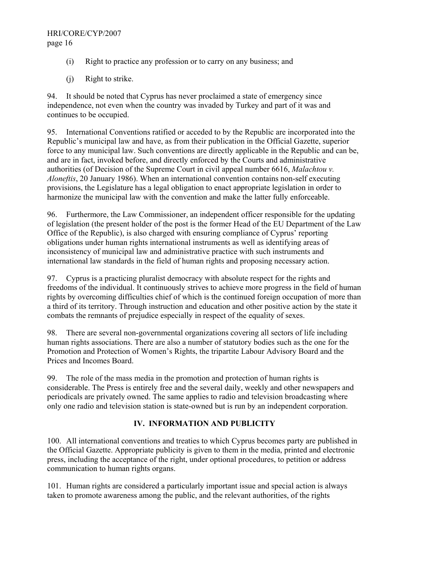- (i) Right to practice any profession or to carry on any business; and
- (j) Right to strike.

94. It should be noted that Cyprus has never proclaimed a state of emergency since independence, not even when the country was invaded by Turkey and part of it was and continues to be occupied.

95. International Conventions ratified or acceded to by the Republic are incorporated into the Republic's municipal law and have, as from their publication in the Official Gazette, superior force to any municipal law. Such conventions are directly applicable in the Republic and can be, and are in fact, invoked before, and directly enforced by the Courts and administrative authorities (of Decision of the Supreme Court in civil appeal number 6616, *Malachtou v. Aloneftis*, 20 January 1986). When an international convention contains non-self executing provisions, the Legislature has a legal obligation to enact appropriate legislation in order to harmonize the municipal law with the convention and make the latter fully enforceable.

96. Furthermore, the Law Commissioner, an independent officer responsible for the updating of legislation (the present holder of the post is the former Head of the EU Department of the Law Office of the Republic), is also charged with ensuring compliance of Cyprus' reporting obligations under human rights international instruments as well as identifying areas of inconsistency of municipal law and administrative practice with such instruments and international law standards in the field of human rights and proposing necessary action.

97. Cyprus is a practicing pluralist democracy with absolute respect for the rights and freedoms of the individual. It continuously strives to achieve more progress in the field of human rights by overcoming difficulties chief of which is the continued foreign occupation of more than a third of its territory. Through instruction and education and other positive action by the state it combats the remnants of prejudice especially in respect of the equality of sexes.

98. There are several non-governmental organizations covering all sectors of life including human rights associations. There are also a number of statutory bodies such as the one for the Promotion and Protection of Women's Rights, the tripartite Labour Advisory Board and the Prices and Incomes Board.

99. The role of the mass media in the promotion and protection of human rights is considerable. The Press is entirely free and the several daily, weekly and other newspapers and periodicals are privately owned. The same applies to radio and television broadcasting where only one radio and television station is state-owned but is run by an independent corporation.

## **IV. INFORMATION AND PUBLICITY**

100. All international conventions and treaties to which Cyprus becomes party are published in the Official Gazette. Appropriate publicity is given to them in the media, printed and electronic press, including the acceptance of the right, under optional procedures, to petition or address communication to human rights organs.

101. Human rights are considered a particularly important issue and special action is always taken to promote awareness among the public, and the relevant authorities, of the rights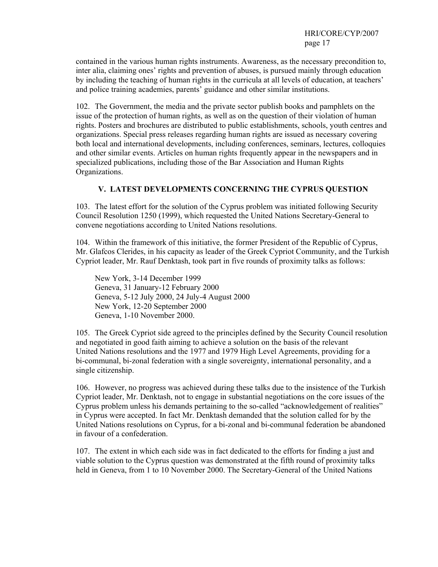contained in the various human rights instruments. Awareness, as the necessary precondition to, inter alia, claiming ones' rights and prevention of abuses, is pursued mainly through education by including the teaching of human rights in the curricula at all levels of education, at teachers' and police training academies, parents' guidance and other similar institutions.

102. The Government, the media and the private sector publish books and pamphlets on the issue of the protection of human rights, as well as on the question of their violation of human rights. Posters and brochures are distributed to public establishments, schools, youth centres and organizations. Special press releases regarding human rights are issued as necessary covering both local and international developments, including conferences, seminars, lectures, colloquies and other similar events. Articles on human rights frequently appear in the newspapers and in specialized publications, including those of the Bar Association and Human Rights Organizations.

#### **V. LATEST DEVELOPMENTS CONCERNING THE CYPRUS QUESTION**

103. The latest effort for the solution of the Cyprus problem was initiated following Security Council Resolution 1250 (1999), which requested the United Nations Secretary-General to convene negotiations according to United Nations resolutions.

104. Within the framework of this initiative, the former President of the Republic of Cyprus, Mr. Glafcos Clerides, in his capacity as leader of the Greek Cypriot Community, and the Turkish Cypriot leader, Mr. Rauf Denktash, took part in five rounds of proximity talks as follows:

New York, 3-14 December 1999 Geneva, 31 January-12 February 2000 Geneva, 5-12 July 2000, 24 July-4 August 2000 New York, 12-20 September 2000 Geneva, 1-10 November 2000.

105. The Greek Cypriot side agreed to the principles defined by the Security Council resolution and negotiated in good faith aiming to achieve a solution on the basis of the relevant United Nations resolutions and the 1977 and 1979 High Level Agreements, providing for a bi-communal, bi-zonal federation with a single sovereignty, international personality, and a single citizenship.

106. However, no progress was achieved during these talks due to the insistence of the Turkish Cypriot leader, Mr. Denktash, not to engage in substantial negotiations on the core issues of the Cyprus problem unless his demands pertaining to the so-called "acknowledgement of realities" in Cyprus were accepted. In fact Mr. Denktash demanded that the solution called for by the United Nations resolutions on Cyprus, for a bi-zonal and bi-communal federation be abandoned in favour of a confederation.

107. The extent in which each side was in fact dedicated to the efforts for finding a just and viable solution to the Cyprus question was demonstrated at the fifth round of proximity talks held in Geneva, from 1 to 10 November 2000. The Secretary-General of the United Nations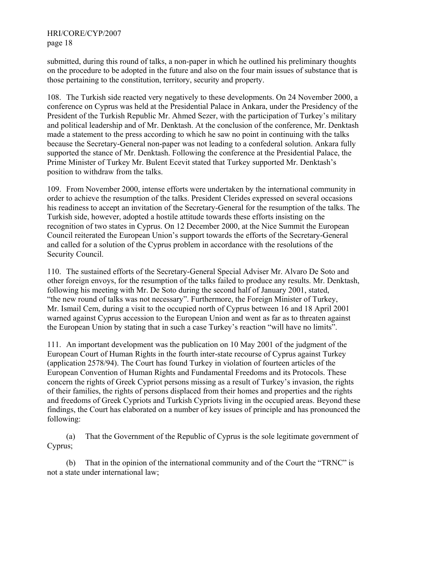submitted, during this round of talks, a non-paper in which he outlined his preliminary thoughts on the procedure to be adopted in the future and also on the four main issues of substance that is those pertaining to the constitution, territory, security and property.

108. The Turkish side reacted very negatively to these developments. On 24 November 2000, a conference on Cyprus was held at the Presidential Palace in Ankara, under the Presidency of the President of the Turkish Republic Mr. Ahmed Sezer, with the participation of Turkey's military and political leadership and of Mr. Denktash. At the conclusion of the conference, Mr. Denktash made a statement to the press according to which he saw no point in continuing with the talks because the Secretary-General non-paper was not leading to a confederal solution. Ankara fully supported the stance of Mr. Denktash. Following the conference at the Presidential Palace, the Prime Minister of Turkey Mr. Bulent Ecevit stated that Turkey supported Mr. Denktash's position to withdraw from the talks.

109. From November 2000, intense efforts were undertaken by the international community in order to achieve the resumption of the talks. President Clerides expressed on several occasions his readiness to accept an invitation of the Secretary-General for the resumption of the talks. The Turkish side, however, adopted a hostile attitude towards these efforts insisting on the recognition of two states in Cyprus. On 12 December 2000, at the Nice Summit the European Council reiterated the European Union's support towards the efforts of the Secretary-General and called for a solution of the Cyprus problem in accordance with the resolutions of the Security Council.

110. The sustained efforts of the Secretary-General Special Adviser Mr. Alvaro De Soto and other foreign envoys, for the resumption of the talks failed to produce any results. Mr. Denktash, following his meeting with Mr. De Soto during the second half of January 2001, stated, "the new round of talks was not necessary". Furthermore, the Foreign Minister of Turkey, Mr. Ismail Cem, during a visit to the occupied north of Cyprus between 16 and 18 April 2001 warned against Cyprus accession to the European Union and went as far as to threaten against the European Union by stating that in such a case Turkey's reaction "will have no limits".

111. An important development was the publication on 10 May 2001 of the judgment of the European Court of Human Rights in the fourth inter-state recourse of Cyprus against Turkey (application 2578/94). The Court has found Turkey in violation of fourteen articles of the European Convention of Human Rights and Fundamental Freedoms and its Protocols. These concern the rights of Greek Cypriot persons missing as a result of Turkey's invasion, the rights of their families, the rights of persons displaced from their homes and properties and the rights and freedoms of Greek Cypriots and Turkish Cypriots living in the occupied areas. Beyond these findings, the Court has elaborated on a number of key issues of principle and has pronounced the following:

 (a) That the Government of the Republic of Cyprus is the sole legitimate government of Cyprus;

 (b) That in the opinion of the international community and of the Court the "TRNC" is not a state under international law;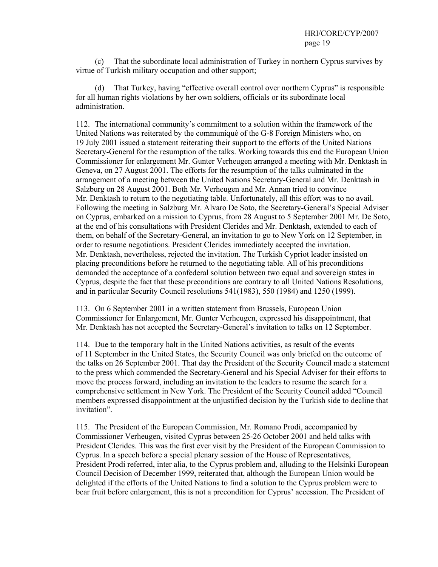(c) That the subordinate local administration of Turkey in northern Cyprus survives by virtue of Turkish military occupation and other support;

 (d) That Turkey, having "effective overall control over northern Cyprus" is responsible for all human rights violations by her own soldiers, officials or its subordinate local administration.

112. The international community's commitment to a solution within the framework of the United Nations was reiterated by the communiqué of the G-8 Foreign Ministers who, on 19 July 2001 issued a statement reiterating their support to the efforts of the United Nations Secretary-General for the resumption of the talks. Working towards this end the European Union Commissioner for enlargement Mr. Gunter Verheugen arranged a meeting with Mr. Denktash in Geneva, on 27 August 2001. The efforts for the resumption of the talks culminated in the arrangement of a meeting between the United Nations Secretary-General and Mr. Denktash in Salzburg on 28 August 2001. Both Mr. Verheugen and Mr. Annan tried to convince Mr. Denktash to return to the negotiating table. Unfortunately, all this effort was to no avail. Following the meeting in Salzburg Mr. Alvaro De Soto, the Secretary-General's Special Adviser on Cyprus, embarked on a mission to Cyprus, from 28 August to 5 September 2001 Mr. De Soto, at the end of his consultations with President Clerides and Mr. Denktash, extended to each of them, on behalf of the Secretary-General, an invitation to go to New York on 12 September, in order to resume negotiations. President Clerides immediately accepted the invitation. Mr. Denktash, nevertheless, rejected the invitation. The Turkish Cypriot leader insisted on placing preconditions before he returned to the negotiating table. All of his preconditions demanded the acceptance of a confederal solution between two equal and sovereign states in Cyprus, despite the fact that these preconditions are contrary to all United Nations Resolutions, and in particular Security Council resolutions 541(1983), 550 (1984) and 1250 (1999).

113. On 6 September 2001 in a written statement from Brussels, European Union Commissioner for Enlargement, Mr. Gunter Verheugen, expressed his disappointment, that Mr. Denktash has not accepted the Secretary-General's invitation to talks on 12 September.

114. Due to the temporary halt in the United Nations activities, as result of the events of 11 September in the United States, the Security Council was only briefed on the outcome of the talks on 26 September 2001. That day the President of the Security Council made a statement to the press which commended the Secretary-General and his Special Adviser for their efforts to move the process forward, including an invitation to the leaders to resume the search for a comprehensive settlement in New York. The President of the Security Council added "Council members expressed disappointment at the unjustified decision by the Turkish side to decline that invitation".

115. The President of the European Commission, Mr. Romano Prodi, accompanied by Commissioner Verheugen, visited Cyprus between 25-26 October 2001 and held talks with President Clerides. This was the first ever visit by the President of the European Commission to Cyprus. In a speech before a special plenary session of the House of Representatives, President Prodi referred, inter alia, to the Cyprus problem and, alluding to the Helsinki European Council Decision of December 1999, reiterated that, although the European Union would be delighted if the efforts of the United Nations to find a solution to the Cyprus problem were to bear fruit before enlargement, this is not a precondition for Cyprus' accession. The President of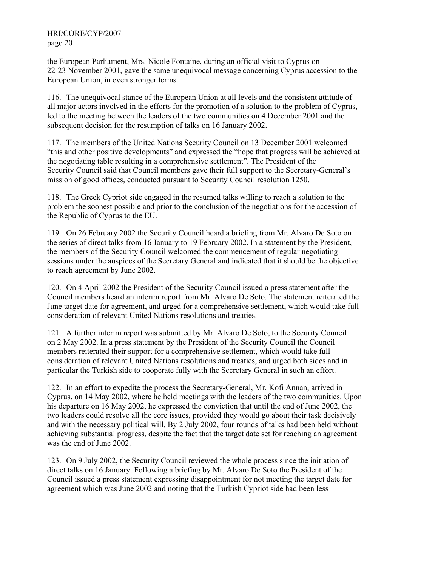the European Parliament, Mrs. Nicole Fontaine, during an official visit to Cyprus on 22-23 November 2001, gave the same unequivocal message concerning Cyprus accession to the European Union, in even stronger terms.

116. The unequivocal stance of the European Union at all levels and the consistent attitude of all major actors involved in the efforts for the promotion of a solution to the problem of Cyprus, led to the meeting between the leaders of the two communities on 4 December 2001 and the subsequent decision for the resumption of talks on 16 January 2002.

117. The members of the United Nations Security Council on 13 December 2001 welcomed "this and other positive developments" and expressed the "hope that progress will be achieved at the negotiating table resulting in a comprehensive settlement". The President of the Security Council said that Council members gave their full support to the Secretary-General's mission of good offices, conducted pursuant to Security Council resolution 1250.

118. The Greek Cypriot side engaged in the resumed talks willing to reach a solution to the problem the soonest possible and prior to the conclusion of the negotiations for the accession of the Republic of Cyprus to the EU.

119. On 26 February 2002 the Security Council heard a briefing from Mr. Alvaro De Soto on the series of direct talks from 16 January to 19 February 2002. In a statement by the President, the members of the Security Council welcomed the commencement of regular negotiating sessions under the auspices of the Secretary General and indicated that it should be the objective to reach agreement by June 2002.

120. On 4 April 2002 the President of the Security Council issued a press statement after the Council members heard an interim report from Mr. Alvaro De Soto. The statement reiterated the June target date for agreement, and urged for a comprehensive settlement, which would take full consideration of relevant United Nations resolutions and treaties.

121. A further interim report was submitted by Mr. Alvaro De Soto, to the Security Council on 2 May 2002. In a press statement by the President of the Security Council the Council members reiterated their support for a comprehensive settlement, which would take full consideration of relevant United Nations resolutions and treaties, and urged both sides and in particular the Turkish side to cooperate fully with the Secretary General in such an effort.

122. In an effort to expedite the process the Secretary-General, Mr. Kofi Annan, arrived in Cyprus, on 14 May 2002, where he held meetings with the leaders of the two communities. Upon his departure on 16 May 2002, he expressed the conviction that until the end of June 2002, the two leaders could resolve all the core issues, provided they would go about their task decisively and with the necessary political will. By 2 July 2002, four rounds of talks had been held without achieving substantial progress, despite the fact that the target date set for reaching an agreement was the end of June 2002.

123. On 9 July 2002, the Security Council reviewed the whole process since the initiation of direct talks on 16 January. Following a briefing by Mr. Alvaro De Soto the President of the Council issued a press statement expressing disappointment for not meeting the target date for agreement which was June 2002 and noting that the Turkish Cypriot side had been less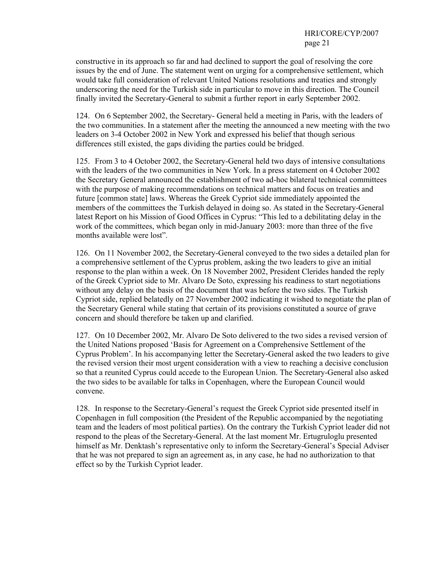constructive in its approach so far and had declined to support the goal of resolving the core issues by the end of June. The statement went on urging for a comprehensive settlement, which would take full consideration of relevant United Nations resolutions and treaties and strongly underscoring the need for the Turkish side in particular to move in this direction. The Council finally invited the Secretary-General to submit a further report in early September 2002.

124. On 6 September 2002, the Secretary- General held a meeting in Paris, with the leaders of the two communities. In a statement after the meeting the announced a new meeting with the two leaders on 3-4 October 2002 in New York and expressed his belief that though serious differences still existed, the gaps dividing the parties could be bridged.

125. From 3 to 4 October 2002, the Secretary-General held two days of intensive consultations with the leaders of the two communities in New York. In a press statement on 4 October 2002 the Secretary General announced the establishment of two ad-hoc bilateral technical committees with the purpose of making recommendations on technical matters and focus on treaties and future [common state] laws. Whereas the Greek Cypriot side immediately appointed the members of the committees the Turkish delayed in doing so. As stated in the Secretary-General latest Report on his Mission of Good Offices in Cyprus: "This led to a debilitating delay in the work of the committees, which began only in mid-January 2003: more than three of the five months available were lost".

126. On 11 November 2002, the Secretary-General conveyed to the two sides a detailed plan for a comprehensive settlement of the Cyprus problem, asking the two leaders to give an initial response to the plan within a week. On 18 November 2002, President Clerides handed the reply of the Greek Cypriot side to Mr. Alvaro De Soto, expressing his readiness to start negotiations without any delay on the basis of the document that was before the two sides. The Turkish Cypriot side, replied belatedly on 27 November 2002 indicating it wished to negotiate the plan of the Secretary General while stating that certain of its provisions constituted a source of grave concern and should therefore be taken up and clarified.

127. On 10 December 2002, Mr. Alvaro De Soto delivered to the two sides a revised version of the United Nations proposed 'Basis for Agreement on a Comprehensive Settlement of the Cyprus Problem'. In his accompanying letter the Secretary-General asked the two leaders to give the revised version their most urgent consideration with a view to reaching a decisive conclusion so that a reunited Cyprus could accede to the European Union. The Secretary-General also asked the two sides to be available for talks in Copenhagen, where the European Council would convene.

128. In response to the Secretary-General's request the Greek Cypriot side presented itself in Copenhagen in full composition (the President of the Republic accompanied by the negotiating team and the leaders of most political parties). On the contrary the Turkish Cypriot leader did not respond to the pleas of the Secretary-General. At the last moment Mr. Ertugruloglu presented himself as Mr. Denktash's representative only to inform the Secretary-General's Special Adviser that he was not prepared to sign an agreement as, in any case, he had no authorization to that effect so by the Turkish Cypriot leader.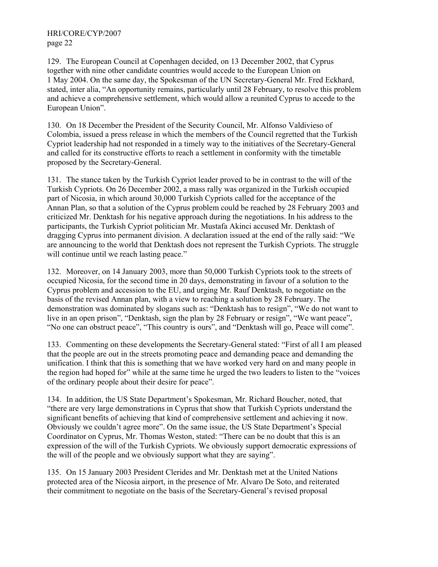129. The European Council at Copenhagen decided, on 13 December 2002, that Cyprus together with nine other candidate countries would accede to the European Union on 1 May 2004. On the same day, the Spokesman of the UN Secretary-General Mr. Fred Eckhard, stated, inter alia, "An opportunity remains, particularly until 28 February, to resolve this problem and achieve a comprehensive settlement, which would allow a reunited Cyprus to accede to the European Union".

130. On 18 December the President of the Security Council, Mr. Alfonso Valdivieso of Colombia, issued a press release in which the members of the Council regretted that the Turkish Cypriot leadership had not responded in a timely way to the initiatives of the Secretary-General and called for its constructive efforts to reach a settlement in conformity with the timetable proposed by the Secretary-General.

131. The stance taken by the Turkish Cypriot leader proved to be in contrast to the will of the Turkish Cypriots. On 26 December 2002, a mass rally was organized in the Turkish occupied part of Nicosia, in which around 30,000 Turkish Cypriots called for the acceptance of the Annan Plan, so that a solution of the Cyprus problem could be reached by 28 February 2003 and criticized Mr. Denktash for his negative approach during the negotiations. In his address to the participants, the Turkish Cypriot politician Mr. Mustafa Akinci accused Mr. Denktash of dragging Cyprus into permanent division. A declaration issued at the end of the rally said: "We are announcing to the world that Denktash does not represent the Turkish Cypriots. The struggle will continue until we reach lasting peace."

132. Moreover, on 14 January 2003, more than 50,000 Turkish Cypriots took to the streets of occupied Nicosia, for the second time in 20 days, demonstrating in favour of a solution to the Cyprus problem and accession to the EU, and urging Mr. Rauf Denktash, to negotiate on the basis of the revised Annan plan, with a view to reaching a solution by 28 February. The demonstration was dominated by slogans such as: "Denktash has to resign", "We do not want to live in an open prison", "Denktash, sign the plan by 28 February or resign", "We want peace", "No one can obstruct peace", "This country is ours", and "Denktash will go, Peace will come".

133. Commenting on these developments the Secretary-General stated: "First of all I am pleased that the people are out in the streets promoting peace and demanding peace and demanding the unification. I think that this is something that we have worked very hard on and many people in the region had hoped for" while at the same time he urged the two leaders to listen to the "voices of the ordinary people about their desire for peace".

134. In addition, the US State Department's Spokesman, Mr. Richard Boucher, noted, that "there are very large demonstrations in Cyprus that show that Turkish Cypriots understand the significant benefits of achieving that kind of comprehensive settlement and achieving it now. Obviously we couldn't agree more". On the same issue, the US State Department's Special Coordinator on Cyprus, Mr. Thomas Weston, stated: "There can be no doubt that this is an expression of the will of the Turkish Cypriots. We obviously support democratic expressions of the will of the people and we obviously support what they are saying".

135. On 15 January 2003 President Clerides and Mr. Denktash met at the United Nations protected area of the Nicosia airport, in the presence of Mr. Alvaro De Soto, and reiterated their commitment to negotiate on the basis of the Secretary-General's revised proposal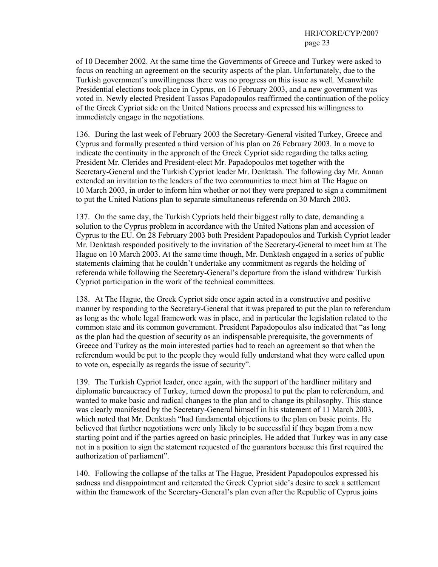of 10 December 2002. At the same time the Governments of Greece and Turkey were asked to focus on reaching an agreement on the security aspects of the plan. Unfortunately, due to the Turkish government's unwillingness there was no progress on this issue as well. Meanwhile Presidential elections took place in Cyprus, on 16 February 2003, and a new government was voted in. Newly elected President Tassos Papadopoulos reaffirmed the continuation of the policy of the Greek Cypriot side on the United Nations process and expressed his willingness to immediately engage in the negotiations.

136. During the last week of February 2003 the Secretary-General visited Turkey, Greece and Cyprus and formally presented a third version of his plan on 26 February 2003. In a move to indicate the continuity in the approach of the Greek Cypriot side regarding the talks acting President Mr. Clerides and President-elect Mr. Papadopoulos met together with the Secretary-General and the Turkish Cypriot leader Mr. Denktash. The following day Mr. Annan extended an invitation to the leaders of the two communities to meet him at The Hague on 10 March 2003, in order to inform him whether or not they were prepared to sign a commitment to put the United Nations plan to separate simultaneous referenda on 30 March 2003.

137. On the same day, the Turkish Cypriots held their biggest rally to date, demanding a solution to the Cyprus problem in accordance with the United Nations plan and accession of Cyprus to the EU. On 28 February 2003 both President Papadopoulos and Turkish Cypriot leader Mr. Denktash responded positively to the invitation of the Secretary-General to meet him at The Hague on 10 March 2003. At the same time though, Mr. Denktash engaged in a series of public statements claiming that he couldn't undertake any commitment as regards the holding of referenda while following the Secretary-General's departure from the island withdrew Turkish Cypriot participation in the work of the technical committees.

138. At The Hague, the Greek Cypriot side once again acted in a constructive and positive manner by responding to the Secretary-General that it was prepared to put the plan to referendum as long as the whole legal framework was in place, and in particular the legislation related to the common state and its common government. President Papadopoulos also indicated that "as long as the plan had the question of security as an indispensable prerequisite, the governments of Greece and Turkey as the main interested parties had to reach an agreement so that when the referendum would be put to the people they would fully understand what they were called upon to vote on, especially as regards the issue of security".

139. The Turkish Cypriot leader, once again, with the support of the hardliner military and diplomatic bureaucracy of Turkey, turned down the proposal to put the plan to referendum, and wanted to make basic and radical changes to the plan and to change its philosophy. This stance was clearly manifested by the Secretary-General himself in his statement of 11 March 2003, which noted that Mr. Denktash "had fundamental objections to the plan on basic points. He believed that further negotiations were only likely to be successful if they began from a new starting point and if the parties agreed on basic principles. He added that Turkey was in any case not in a position to sign the statement requested of the guarantors because this first required the authorization of parliament".

140. Following the collapse of the talks at The Hague, President Papadopoulos expressed his sadness and disappointment and reiterated the Greek Cypriot side's desire to seek a settlement within the framework of the Secretary-General's plan even after the Republic of Cyprus joins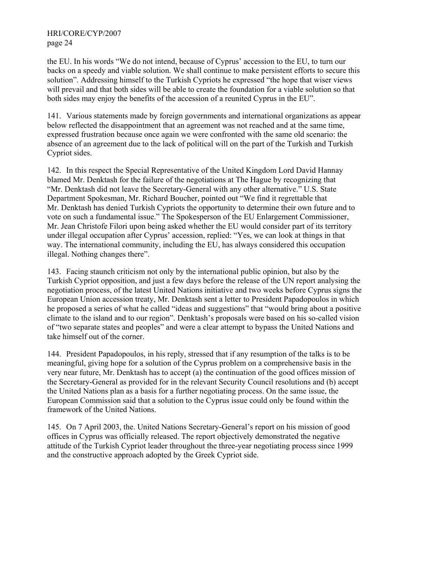the EU. In his words "We do not intend, because of Cyprus' accession to the EU, to turn our backs on a speedy and viable solution. We shall continue to make persistent efforts to secure this solution". Addressing himself to the Turkish Cypriots he expressed "the hope that wiser views will prevail and that both sides will be able to create the foundation for a viable solution so that both sides may enjoy the benefits of the accession of a reunited Cyprus in the EU".

141. Various statements made by foreign governments and international organizations as appear below reflected the disappointment that an agreement was not reached and at the same time, expressed frustration because once again we were confronted with the same old scenario: the absence of an agreement due to the lack of political will on the part of the Turkish and Turkish Cypriot sides.

142. In this respect the Special Representative of the United Kingdom Lord David Hannay blamed Mr. Denktash for the failure of the negotiations at The Hague by recognizing that "Mr. Denktash did not leave the Secretary-General with any other alternative." U.S. State Department Spokesman, Mr. Richard Boucher, pointed out "We find it regrettable that Mr. Denktash has denied Turkish Cypriots the opportunity to determine their own future and to vote on such a fundamental issue." The Spokesperson of the EU Enlargement Commissioner, Mr. Jean Christofe Filori upon being asked whether the EU would consider part of its territory under illegal occupation after Cyprus' accession, replied: "Yes, we can look at things in that way. The international community, including the EU, has always considered this occupation illegal. Nothing changes there".

143. Facing staunch criticism not only by the international public opinion, but also by the Turkish Cypriot opposition, and just a few days before the release of the UN report analysing the negotiation process, of the latest United Nations initiative and two weeks before Cyprus signs the European Union accession treaty, Mr. Denktash sent a letter to President Papadopoulos in which he proposed a series of what he called "ideas and suggestions" that "would bring about a positive climate to the island and to our region". Denktash's proposals were based on his so-called vision of "two separate states and peoples" and were a clear attempt to bypass the United Nations and take himself out of the corner.

144. President Papadopoulos, in his reply, stressed that if any resumption of the talks is to be meaningful, giving hope for a solution of the Cyprus problem on a comprehensive basis in the very near future, Mr. Denktash has to accept (a) the continuation of the good offices mission of the Secretary-General as provided for in the relevant Security Council resolutions and (b) accept the United Nations plan as a basis for a further negotiating process. On the same issue, the European Commission said that a solution to the Cyprus issue could only be found within the framework of the United Nations.

145. On 7 April 2003, the. United Nations Secretary-General's report on his mission of good offices in Cyprus was officially released. The report objectively demonstrated the negative attitude of the Turkish Cypriot leader throughout the three-year negotiating process since 1999 and the constructive approach adopted by the Greek Cypriot side.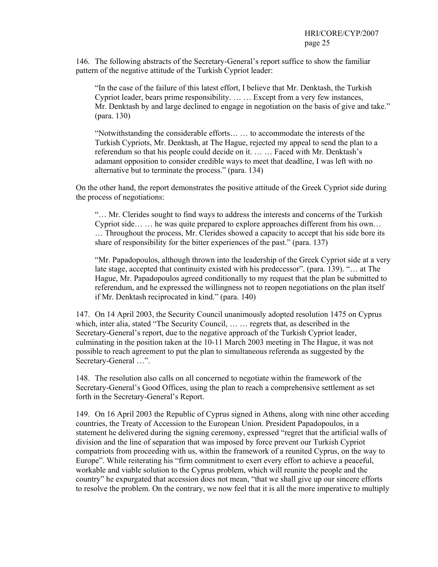146. The following abstracts of the Secretary-General's report suffice to show the familiar pattern of the negative attitude of the Turkish Cypriot leader:

"In the case of the failure of this latest effort, I believe that Mr. Denktash, the Turkish Cypriot leader, bears prime responsibility. … … Except from a very few instances, Mr. Denktash by and large declined to engage in negotiation on the basis of give and take." (para. 130)

"Notwithstanding the considerable efforts… … to accommodate the interests of the Turkish Cypriots, Mr. Denktash, at The Hague, rejected my appeal to send the plan to a referendum so that his people could decide on it. … … Faced with Mr. Denktash's adamant opposition to consider credible ways to meet that deadline, I was left with no alternative but to terminate the process." (para. 134)

On the other hand, the report demonstrates the positive attitude of the Greek Cypriot side during the process of negotiations:

"… Mr. Clerides sought to find ways to address the interests and concerns of the Turkish Cypriot side… … he was quite prepared to explore approaches different from his own… … Throughout the process, Mr. Clerides showed a capacity to accept that his side bore its share of responsibility for the bitter experiences of the past." (para. 137)

"Mr. Papadopoulos, although thrown into the leadership of the Greek Cypriot side at a very late stage, accepted that continuity existed with his predecessor". (para. 139). "... at The Hague, Mr. Papadopoulos agreed conditionally to my request that the plan be submitted to referendum, and he expressed the willingness not to reopen negotiations on the plan itself if Mr. Denktash reciprocated in kind." (para. 140)

147. On 14 April 2003, the Security Council unanimously adopted resolution 1475 on Cyprus which, inter alia, stated "The Security Council, … … regrets that, as described in the Secretary-General's report, due to the negative approach of the Turkish Cypriot leader, culminating in the position taken at the 10-11 March 2003 meeting in The Hague, it was not possible to reach agreement to put the plan to simultaneous referenda as suggested by the Secretary-General …".

148. The resolution also calls on all concerned to negotiate within the framework of the Secretary-General's Good Offices, using the plan to reach a comprehensive settlement as set forth in the Secretary-General's Report.

149. On 16 April 2003 the Republic of Cyprus signed in Athens, along with nine other acceding countries, the Treaty of Accession to the European Union. President Papadopoulos, in a statement he delivered during the signing ceremony, expressed "regret that the artificial walls of division and the line of separation that was imposed by force prevent our Turkish Cypriot compatriots from proceeding with us, within the framework of a reunited Cyprus, on the way to Europe". While reiterating his "firm commitment to exert every effort to achieve a peaceful, workable and viable solution to the Cyprus problem, which will reunite the people and the country" he expurgated that accession does not mean, "that we shall give up our sincere efforts to resolve the problem. On the contrary, we now feel that it is all the more imperative to multiply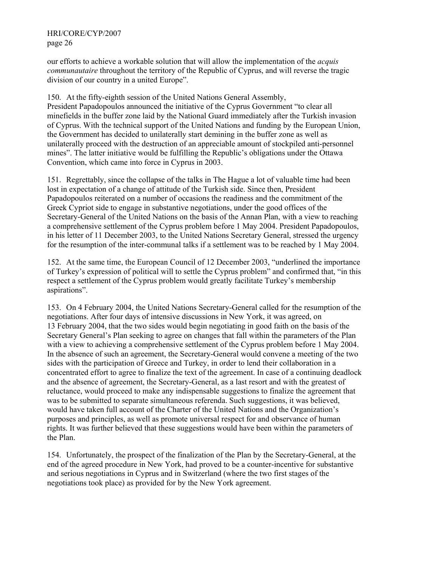our efforts to achieve a workable solution that will allow the implementation of the *acquis communautaire* throughout the territory of the Republic of Cyprus, and will reverse the tragic division of our country in a united Europe".

150. At the fifty-eighth session of the United Nations General Assembly, President Papadopoulos announced the initiative of the Cyprus Government "to clear all minefields in the buffer zone laid by the National Guard immediately after the Turkish invasion of Cyprus. With the technical support of the United Nations and funding by the European Union, the Government has decided to unilaterally start demining in the buffer zone as well as unilaterally proceed with the destruction of an appreciable amount of stockpiled anti-personnel mines". The latter initiative would be fulfilling the Republic's obligations under the Ottawa Convention, which came into force in Cyprus in 2003.

151. Regrettably, since the collapse of the talks in The Hague a lot of valuable time had been lost in expectation of a change of attitude of the Turkish side. Since then, President Papadopoulos reiterated on a number of occasions the readiness and the commitment of the Greek Cypriot side to engage in substantive negotiations, under the good offices of the Secretary-General of the United Nations on the basis of the Annan Plan, with a view to reaching a comprehensive settlement of the Cyprus problem before 1 May 2004. President Papadopoulos, in his letter of 11 December 2003, to the United Nations Secretary General, stressed the urgency for the resumption of the inter-communal talks if a settlement was to be reached by 1 May 2004.

152. At the same time, the European Council of 12 December 2003, "underlined the importance of Turkey's expression of political will to settle the Cyprus problem" and confirmed that, "in this respect a settlement of the Cyprus problem would greatly facilitate Turkey's membership aspirations".

153. On 4 February 2004, the United Nations Secretary-General called for the resumption of the negotiations. After four days of intensive discussions in New York, it was agreed, on 13 February 2004, that the two sides would begin negotiating in good faith on the basis of the Secretary General's Plan seeking to agree on changes that fall within the parameters of the Plan with a view to achieving a comprehensive settlement of the Cyprus problem before 1 May 2004. In the absence of such an agreement, the Secretary-General would convene a meeting of the two sides with the participation of Greece and Turkey, in order to lend their collaboration in a concentrated effort to agree to finalize the text of the agreement. In case of a continuing deadlock and the absence of agreement, the Secretary-General, as a last resort and with the greatest of reluctance, would proceed to make any indispensable suggestions to finalize the agreement that was to be submitted to separate simultaneous referenda. Such suggestions, it was believed, would have taken full account of the Charter of the United Nations and the Organization's purposes and principles, as well as promote universal respect for and observance of human rights. It was further believed that these suggestions would have been within the parameters of the Plan.

154. Unfortunately, the prospect of the finalization of the Plan by the Secretary-General, at the end of the agreed procedure in New York, had proved to be a counter-incentive for substantive and serious negotiations in Cyprus and in Switzerland (where the two first stages of the negotiations took place) as provided for by the New York agreement.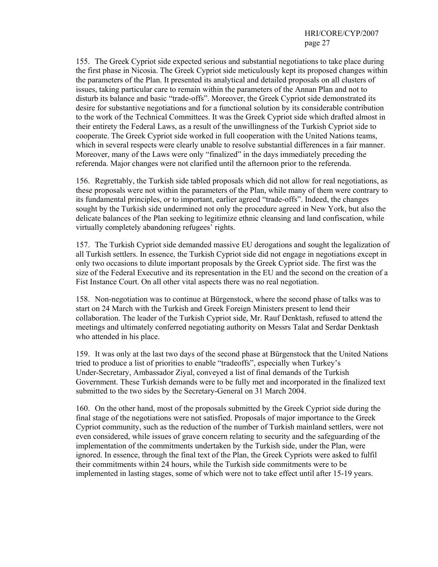155. The Greek Cypriot side expected serious and substantial negotiations to take place during the first phase in Nicosia. The Greek Cypriot side meticulously kept its proposed changes within the parameters of the Plan. It presented its analytical and detailed proposals on all clusters of issues, taking particular care to remain within the parameters of the Annan Plan and not to disturb its balance and basic "trade-offs". Moreover, the Greek Cypriot side demonstrated its desire for substantive negotiations and for a functional solution by its considerable contribution to the work of the Technical Committees. It was the Greek Cypriot side which drafted almost in their entirety the Federal Laws, as a result of the unwillingness of the Turkish Cypriot side to cooperate. The Greek Cypriot side worked in full cooperation with the United Nations teams, which in several respects were clearly unable to resolve substantial differences in a fair manner. Moreover, many of the Laws were only "finalized" in the days immediately preceding the referenda. Major changes were not clarified until the afternoon prior to the referenda.

156. Regrettably, the Turkish side tabled proposals which did not allow for real negotiations, as these proposals were not within the parameters of the Plan, while many of them were contrary to its fundamental principles, or to important, earlier agreed "trade-offs". Indeed, the changes sought by the Turkish side undermined not only the procedure agreed in New York, but also the delicate balances of the Plan seeking to legitimize ethnic cleansing and land confiscation, while virtually completely abandoning refugees' rights.

157. The Turkish Cypriot side demanded massive EU derogations and sought the legalization of all Turkish settlers. In essence, the Turkish Cypriot side did not engage in negotiations except in only two occasions to dilute important proposals by the Greek Cypriot side. The first was the size of the Federal Executive and its representation in the EU and the second on the creation of a Fist Instance Court. On all other vital aspects there was no real negotiation.

158. Non-negotiation was to continue at Bürgenstock, where the second phase of talks was to start on 24 March with the Turkish and Greek Foreign Ministers present to lend their collaboration. The leader of the Turkish Cypriot side, Mr. Rauf Denktash, refused to attend the meetings and ultimately conferred negotiating authority on Messrs Talat and Serdar Denktash who attended in his place.

159. It was only at the last two days of the second phase at Bürgenstock that the United Nations tried to produce a list of priorities to enable "tradeoffs", especially when Turkey's Under-Secretary, Ambassador Ziyal, conveyed a list of final demands of the Turkish Government. These Turkish demands were to be fully met and incorporated in the finalized text submitted to the two sides by the Secretary-General on 31 March 2004.

160. On the other hand, most of the proposals submitted by the Greek Cypriot side during the final stage of the negotiations were not satisfied. Proposals of major importance to the Greek Cypriot community, such as the reduction of the number of Turkish mainland settlers, were not even considered, while issues of grave concern relating to security and the safeguarding of the implementation of the commitments undertaken by the Turkish side, under the Plan, were ignored. In essence, through the final text of the Plan, the Greek Cypriots were asked to fulfil their commitments within 24 hours, while the Turkish side commitments were to be implemented in lasting stages, some of which were not to take effect until after 15-19 years.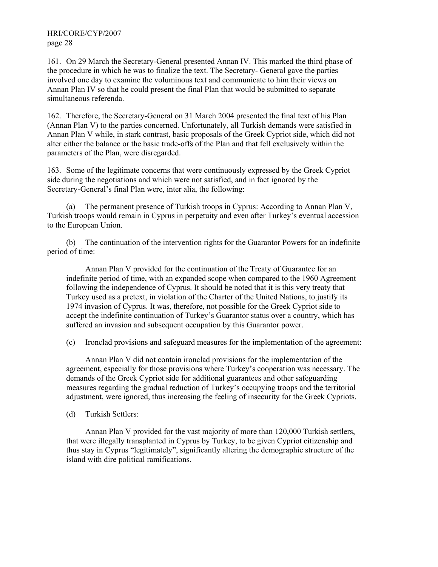161. On 29 March the Secretary-General presented Annan IV. This marked the third phase of the procedure in which he was to finalize the text. The Secretary- General gave the parties involved one day to examine the voluminous text and communicate to him their views on Annan Plan IV so that he could present the final Plan that would be submitted to separate simultaneous referenda.

162. Therefore, the Secretary-General on 31 March 2004 presented the final text of his Plan (Annan Plan V) to the parties concerned. Unfortunately, all Turkish demands were satisfied in Annan Plan V while, in stark contrast, basic proposals of the Greek Cypriot side, which did not alter either the balance or the basic trade-offs of the Plan and that fell exclusively within the parameters of the Plan, were disregarded.

163. Some of the legitimate concerns that were continuously expressed by the Greek Cypriot side during the negotiations and which were not satisfied, and in fact ignored by the Secretary-General's final Plan were, inter alia, the following:

 (a) The permanent presence of Turkish troops in Cyprus: According to Annan Plan V, Turkish troops would remain in Cyprus in perpetuity and even after Turkey's eventual accession to the European Union.

 (b) The continuation of the intervention rights for the Guarantor Powers for an indefinite period of time:

 Annan Plan V provided for the continuation of the Treaty of Guarantee for an indefinite period of time, with an expanded scope when compared to the 1960 Agreement following the independence of Cyprus. It should be noted that it is this very treaty that Turkey used as a pretext, in violation of the Charter of the United Nations, to justify its 1974 invasion of Cyprus. It was, therefore, not possible for the Greek Cypriot side to accept the indefinite continuation of Turkey's Guarantor status over a country, which has suffered an invasion and subsequent occupation by this Guarantor power.

(c) Ironclad provisions and safeguard measures for the implementation of the agreement:

 Annan Plan V did not contain ironclad provisions for the implementation of the agreement, especially for those provisions where Turkey's cooperation was necessary. The demands of the Greek Cypriot side for additional guarantees and other safeguarding measures regarding the gradual reduction of Turkey's occupying troops and the territorial adjustment, were ignored, thus increasing the feeling of insecurity for the Greek Cypriots.

(d) Turkish Settlers:

 Annan Plan V provided for the vast majority of more than 120,000 Turkish settlers, that were illegally transplanted in Cyprus by Turkey, to be given Cypriot citizenship and thus stay in Cyprus "legitimately", significantly altering the demographic structure of the island with dire political ramifications.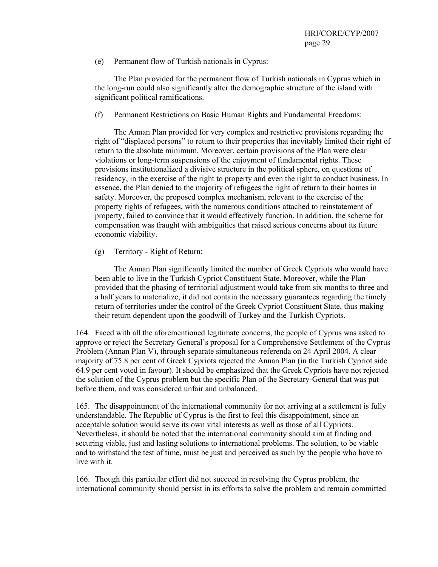(e) Permanent flow of Turkish nationals in Cyprus:

 The Plan provided for the permanent flow of Turkish nationals in Cyprus which in the long-run could also significantly alter the demographic structure of the island with significant political ramifications.

(f) Permanent Restrictions on Basic Human Rights and Fundamental Freedoms:

 The Annan Plan provided for very complex and restrictive provisions regarding the right of "displaced persons" to return to their properties that inevitably limited their right of return to the absolute minimum. Moreover, certain provisions of the Plan were clear violations or long-term suspensions of the enjoyment of fundamental rights. These provisions institutionalized a divisive structure in the political sphere, on questions of residency, in the exercise of the right to property and even the right to conduct business. In essence, the Plan denied to the majority of refugees the right of return to their homes in safety. Moreover, the proposed complex mechanism, relevant to the exercise of the property rights of refugees, with the numerous conditions attached to reinstatement of property, failed to convince that it would effectively function. In addition, the scheme for compensation was fraught with ambiguities that raised serious concerns about its future economic viability.

(g) Territory - Right of Return:

 The Annan Plan significantly limited the number of Greek Cypriots who would have been able to live in the Turkish Cypriot Constituent State. Moreover, while the Plan provided that the phasing of territorial adjustment would take from six months to three and a half years to materialize, it did not contain the necessary guarantees regarding the timely return of territories under the control of the Greek Cypriot Constituent State, thus making their return dependent upon the goodwill of Turkey and the Turkish Cypriots.

164. Faced with all the aforementioned legitimate concerns, the people of Cyprus was asked to approve or reject the Secretary General's proposal for a Comprehensive Settlement of the Cyprus Problem (Annan Plan V), through separate simultaneous referenda on 24 April 2004. A clear majority of 75.8 per cent of Greek Cypriots rejected the Annan Plan (in the Turkish Cypriot side 64.9 per cent voted in favour). It should be emphasized that the Greek Cypriots have not rejected the solution of the Cyprus problem but the specific Plan of the Secretary-General that was put before them, and was considered unfair and unbalanced.

165. The disappointment of the international community for not arriving at a settlement is fully understandable. The Republic of Cyprus is the first to feel this disappointment, since an acceptable solution would serve its own vital interests as well as those of all Cypriots. Nevertheless, it should be noted that the international community should aim at finding and securing viable, just and lasting solutions to international problems. The solution, to be viable and to withstand the test of time, must be just and perceived as such by the people who have to live with it.

166. Though this particular effort did not succeed in resolving the Cyprus problem, the international community should persist in its efforts to solve the problem and remain committed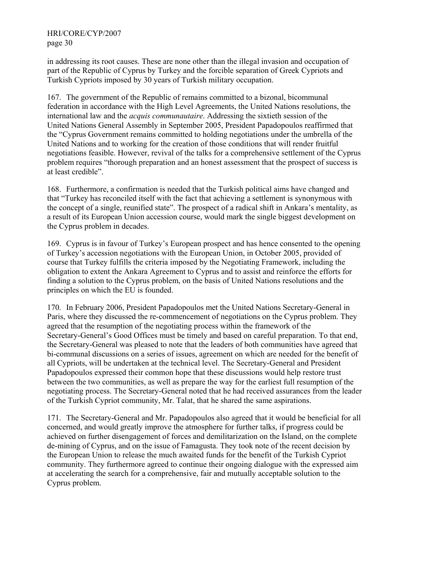in addressing its root causes. These are none other than the illegal invasion and occupation of part of the Republic of Cyprus by Turkey and the forcible separation of Greek Cypriots and Turkish Cypriots imposed by 30 years of Turkish military occupation.

167. The government of the Republic of remains committed to a bizonal, bicommunal federation in accordance with the High Level Agreements, the United Nations resolutions, the international law and the *acquis communautaire*. Addressing the sixtieth session of the United Nations General Assembly in September 2005, President Papadopoulos reaffirmed that the "Cyprus Government remains committed to holding negotiations under the umbrella of the United Nations and to working for the creation of those conditions that will render fruitful negotiations feasible. However, revival of the talks for a comprehensive settlement of the Cyprus problem requires "thorough preparation and an honest assessment that the prospect of success is at least credible".

168. Furthermore, a confirmation is needed that the Turkish political aims have changed and that "Turkey has reconciled itself with the fact that achieving a settlement is synonymous with the concept of a single, reunified state". The prospect of a radical shift in Ankara's mentality, as a result of its European Union accession course, would mark the single biggest development on the Cyprus problem in decades.

169. Cyprus is in favour of Turkey's European prospect and has hence consented to the opening of Turkey's accession negotiations with the European Union, in October 2005, provided of course that Turkey fulfills the criteria imposed by the Negotiating Framework, including the obligation to extent the Ankara Agreement to Cyprus and to assist and reinforce the efforts for finding a solution to the Cyprus problem, on the basis of United Nations resolutions and the principles on which the EU is founded.

170. In February 2006, President Papadopoulos met the United Nations Secretary-General in Paris, where they discussed the re-commencement of negotiations on the Cyprus problem. They agreed that the resumption of the negotiating process within the framework of the Secretary-General's Good Offices must be timely and based on careful preparation. To that end, the Secretary-General was pleased to note that the leaders of both communities have agreed that bi-communal discussions on a series of issues, agreement on which are needed for the benefit of all Cypriots, will be undertaken at the technical level. The Secretary-General and President Papadopoulos expressed their common hope that these discussions would help restore trust between the two communities, as well as prepare the way for the earliest full resumption of the negotiating process. The Secretary-General noted that he had received assurances from the leader of the Turkish Cypriot community, Mr. Talat, that he shared the same aspirations.

171. The Secretary-General and Mr. Papadopoulos also agreed that it would be beneficial for all concerned, and would greatly improve the atmosphere for further talks, if progress could be achieved on further disengagement of forces and demilitarization on the Island, on the complete de-mining of Cyprus, and on the issue of Famagusta. They took note of the recent decision by the European Union to release the much awaited funds for the benefit of the Turkish Cypriot community. They furthermore agreed to continue their ongoing dialogue with the expressed aim at accelerating the search for a comprehensive, fair and mutually acceptable solution to the Cyprus problem.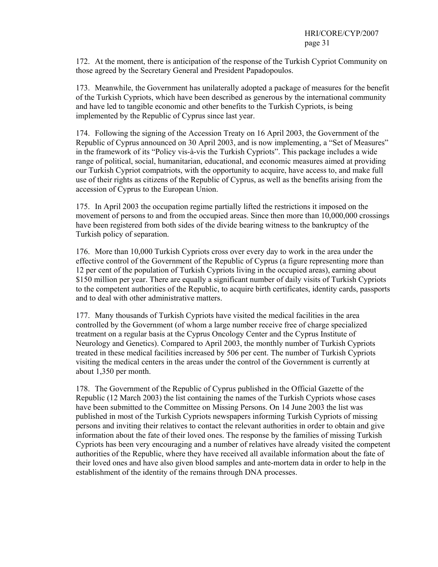172. At the moment, there is anticipation of the response of the Turkish Cypriot Community on those agreed by the Secretary General and President Papadopoulos.

173. Meanwhile, the Government has unilaterally adopted a package of measures for the benefit of the Turkish Cypriots, which have been described as generous by the international community and have led to tangible economic and other benefits to the Turkish Cypriots, is being implemented by the Republic of Cyprus since last year.

174. Following the signing of the Accession Treaty on 16 April 2003, the Government of the Republic of Cyprus announced on 30 April 2003, and is now implementing, a "Set of Measures" in the framework of its "Policy vis-à-vis the Turkish Cypriots". This package includes a wide range of political, social, humanitarian, educational, and economic measures aimed at providing our Turkish Cypriot compatriots, with the opportunity to acquire, have access to, and make full use of their rights as citizens of the Republic of Cyprus, as well as the benefits arising from the accession of Cyprus to the European Union.

175. In April 2003 the occupation regime partially lifted the restrictions it imposed on the movement of persons to and from the occupied areas. Since then more than 10,000,000 crossings have been registered from both sides of the divide bearing witness to the bankruptcy of the Turkish policy of separation.

176. More than 10,000 Turkish Cypriots cross over every day to work in the area under the effective control of the Government of the Republic of Cyprus (a figure representing more than 12 per cent of the population of Turkish Cypriots living in the occupied areas), earning about \$150 million per year. There are equally a significant number of daily visits of Turkish Cypriots to the competent authorities of the Republic, to acquire birth certificates, identity cards, passports and to deal with other administrative matters.

177. Many thousands of Turkish Cypriots have visited the medical facilities in the area controlled by the Government (of whom a large number receive free of charge specialized treatment on a regular basis at the Cyprus Oncology Center and the Cyprus Institute of Neurology and Genetics). Compared to April 2003, the monthly number of Turkish Cypriots treated in these medical facilities increased by 506 per cent. The number of Turkish Cypriots visiting the medical centers in the areas under the control of the Government is currently at about 1,350 per month.

178. The Government of the Republic of Cyprus published in the Official Gazette of the Republic (12 March 2003) the list containing the names of the Turkish Cypriots whose cases have been submitted to the Committee on Missing Persons. On 14 June 2003 the list was published in most of the Turkish Cypriots newspapers informing Turkish Cypriots of missing persons and inviting their relatives to contact the relevant authorities in order to obtain and give information about the fate of their loved ones. The response by the families of missing Turkish Cypriots has been very encouraging and a number of relatives have already visited the competent authorities of the Republic, where they have received all available information about the fate of their loved ones and have also given blood samples and ante-mortem data in order to help in the establishment of the identity of the remains through DNA processes.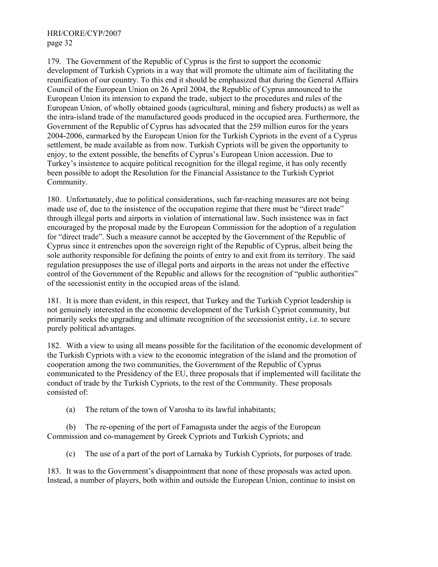179. The Government of the Republic of Cyprus is the first to support the economic development of Turkish Cypriots in a way that will promote the ultimate aim of facilitating the reunification of our country. To this end it should be emphasized that during the General Affairs Council of the European Union on 26 April 2004, the Republic of Cyprus announced to the European Union its intension to expand the trade, subject to the procedures and rules of the European Union, of wholly obtained goods (agricultural, mining and fishery products) as well as the intra-island trade of the manufactured goods produced in the occupied area. Furthermore, the Government of the Republic of Cyprus has advocated that the 259 million euros for the years 2004-2006, earmarked by the European Union for the Turkish Cypriots in the event of a Cyprus settlement, be made available as from now. Turkish Cypriots will be given the opportunity to enjoy, to the extent possible, the benefits of Cyprus's European Union accession. Due to Turkey's insistence to acquire political recognition for the illegal regime, it has only recently been possible to adopt the Resolution for the Financial Assistance to the Turkish Cypriot Community.

180. Unfortunately, due to political considerations, such far-reaching measures are not being made use of, due to the insistence of the occupation regime that there must be "direct trade" through illegal ports and airports in violation of international law. Such insistence was in fact encouraged by the proposal made by the European Commission for the adoption of a regulation for "direct trade". Such a measure cannot be accepted by the Government of the Republic of Cyprus since it entrenches upon the sovereign right of the Republic of Cyprus, albeit being the sole authority responsible for defining the points of entry to and exit from its territory. The said regulation presupposes the use of illegal ports and airports in the areas not under the effective control of the Government of the Republic and allows for the recognition of "public authorities" of the secessionist entity in the occupied areas of the island.

181. It is more than evident, in this respect, that Turkey and the Turkish Cypriot leadership is not genuinely interested in the economic development of the Turkish Cypriot community, but primarily seeks the upgrading and ultimate recognition of the secessionist entity, i.e. to secure purely political advantages.

182. With a view to using all means possible for the facilitation of the economic development of the Turkish Cypriots with a view to the economic integration of the island and the promotion of cooperation among the two communities, the Government of the Republic of Cyprus communicated to the Presidency of the EU, three proposals that if implemented will facilitate the conduct of trade by the Turkish Cypriots, to the rest of the Community. These proposals consisted of:

(a) The return of the town of Varosha to its lawful inhabitants;

 (b) The re-opening of the port of Famagusta under the aegis of the European Commission and co-management by Greek Cypriots and Turkish Cypriots; and

(c) The use of a part of the port of Larnaka by Turkish Cypriots, for purposes of trade.

183. It was to the Government's disappointment that none of these proposals was acted upon. Instead, a number of players, both within and outside the European Union, continue to insist on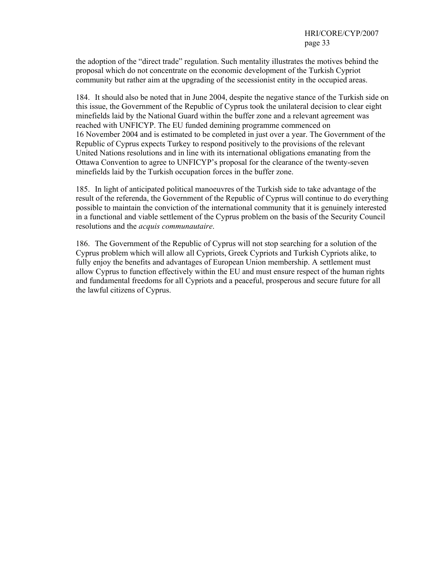the adoption of the "direct trade" regulation. Such mentality illustrates the motives behind the proposal which do not concentrate on the economic development of the Turkish Cypriot community but rather aim at the upgrading of the secessionist entity in the occupied areas.

184. It should also be noted that in June 2004, despite the negative stance of the Turkish side on this issue, the Government of the Republic of Cyprus took the unilateral decision to clear eight minefields laid by the National Guard within the buffer zone and a relevant agreement was reached with UNFICYP. The EU funded demining programme commenced on 16 November 2004 and is estimated to be completed in just over a year. The Government of the Republic of Cyprus expects Turkey to respond positively to the provisions of the relevant United Nations resolutions and in line with its international obligations emanating from the Ottawa Convention to agree to UNFICYP's proposal for the clearance of the twenty-seven minefields laid by the Turkish occupation forces in the buffer zone.

185. In light of anticipated political manoeuvres of the Turkish side to take advantage of the result of the referenda, the Government of the Republic of Cyprus will continue to do everything possible to maintain the conviction of the international community that it is genuinely interested in a functional and viable settlement of the Cyprus problem on the basis of the Security Council resolutions and the *acquis communautaire*.

186. The Government of the Republic of Cyprus will not stop searching for a solution of the Cyprus problem which will allow all Cypriots, Greek Cypriots and Turkish Cypriots alike, to fully enjoy the benefits and advantages of European Union membership. A settlement must allow Cyprus to function effectively within the EU and must ensure respect of the human rights and fundamental freedoms for all Cypriots and a peaceful, prosperous and secure future for all the lawful citizens of Cyprus.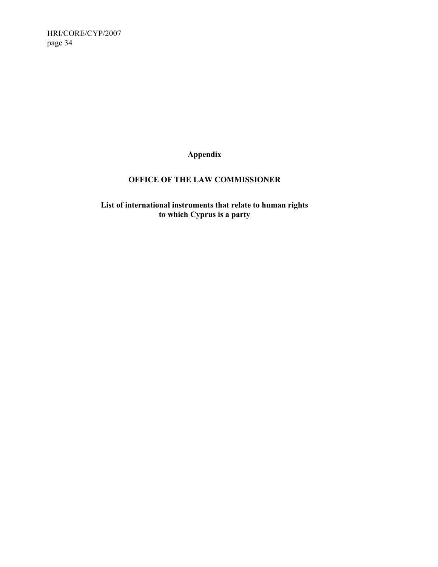**Appendix** 

## **OFFICE OF THE LAW COMMISSIONER**

**List of international instruments that relate to human rights to which Cyprus is a party**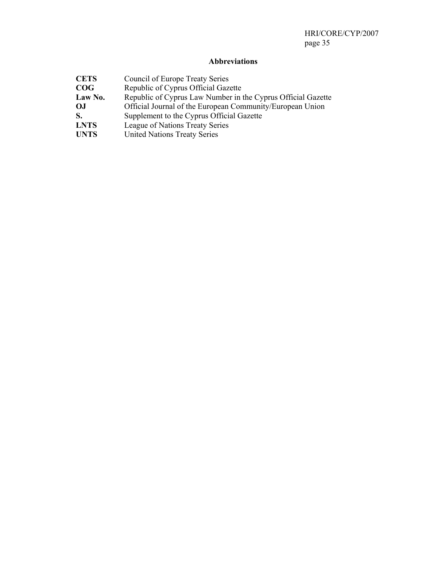## **Abbreviations**

| <b>CETS</b> | Council of Europe Treaty Series                              |
|-------------|--------------------------------------------------------------|
| COG         | Republic of Cyprus Official Gazette                          |
| Law No.     | Republic of Cyprus Law Number in the Cyprus Official Gazette |
| OJ.         | Official Journal of the European Community/European Union    |
| S.          | Supplement to the Cyprus Official Gazette                    |
| <b>LNTS</b> | League of Nations Treaty Series                              |
| <b>UNTS</b> | <b>United Nations Treaty Series</b>                          |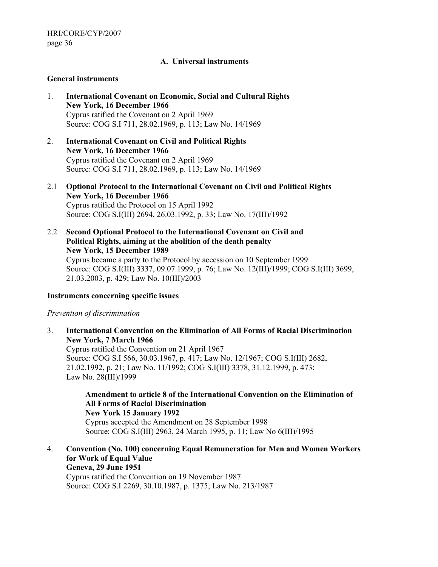#### **A. Universal instruments**

#### **General instruments**

- 1. **International Covenant on Economic, Social and Cultural Rights New York, 16 December 1966**  Cyprus ratified the Covenant on 2 April 1969 Source: COG S.I 711, 28.02.1969, p. 113; Law No. 14/1969
- 2. **International Covenant on Civil and Political Rights New York, 16 December 1966**  Cyprus ratified the Covenant on 2 April 1969 Source: COG S.I 711, 28.02.1969, p. 113; Law No. 14/1969
- 2.1 **Optional Protocol to the International Covenant on Civil and Political Rights New York, 16 December 1966**  Cyprus ratified the Protocol on 15 April 1992 Source: COG S.I(III) 2694, 26.03.1992, p. 33; Law No. 17(III)/1992
- 2.2 **Second Optional Protocol to the International Covenant on Civil and Political Rights, aiming at the abolition of the death penalty New York, 15 December 1989**

Cyprus became a party to the Protocol by accession on 10 September 1999 Source: COG S.I(III) 3337, 09.07.1999, p. 76; Law No. 12(III)/1999; COG S.I(III) 3699, 21.03.2003, p. 429; Law No. 10(III)/2003

#### **Instruments concerning specific issues**

*Prevention of discrimination* 

3. **International Convention on the Elimination of All Forms of Racial Discrimination New York, 7 March 1966**  Cyprus ratified the Convention on 21 April 1967 Source: COG S.I 566, 30.03.1967, p. 417; Law No. 12/1967; COG S.I(III) 2682,

21.02.1992, p. 21; Law No. 11/1992; COG S.I(III) 3378, 31.12.1999, p. 473; Law No. 28(III)/1999

**Amendment to article 8 of the International Convention on the Elimination of All Forms of Racial Discrimination New York 15 January 1992**  Cyprus accepted the Amendment on 28 September 1998 Source: COG S.I(III) 2963, 24 March 1995, p. 11; Law No 6(III)/1995

4. **Convention (No. 100) concerning Equal Remuneration for Men and Women Workers for Work of Equal Value Geneva, 29 June 1951**  Cyprus ratified the Convention on 19 November 1987

Source: COG S.I 2269, 30.10.1987, p. 1375; Law No. 213/1987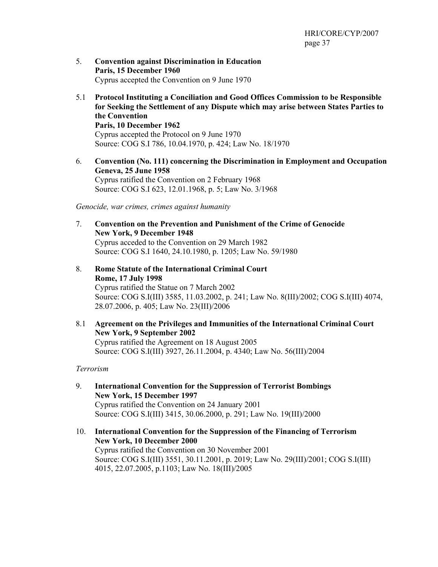- 5. **Convention against Discrimination in Education Paris, 15 December 1960**  Cyprus accepted the Convention on 9 June 1970
- 5.1 **Protocol Instituting a Conciliation and Good Offices Commission to be Responsible for Seeking the Settlement of any Dispute which may arise between States Parties to the Convention Paris, 10 December 1962**  Cyprus accepted the Protocol on 9 June 1970 Source: COG S.I 786, 10.04.1970, p. 424; Law No. 18/1970
- 6. **Convention (No. 111) concerning the Discrimination in Employment and Occupation Geneva, 25 June 1958**  Cyprus ratified the Convention on 2 February 1968 Source: COG S.I 623, 12.01.1968, p. 5; Law No. 3/1968

*Genocide, war crimes, crimes against humanity* 

- 7. **Convention on the Prevention and Punishment of the Crime of Genocide New York, 9 December 1948**  Cyprus acceded to the Convention on 29 March 1982 Source: COG S.I 1640, 24.10.1980, p. 1205; Law No. 59/1980
- 8. **Rome Statute of the International Criminal Court Rome, 17 July 1998**  Cyprus ratified the Statue on 7 March 2002 Source: COG S.I(III) 3585, 11.03.2002, p. 241; Law No. 8(III)/2002; COG S.I(III) 4074, 28.07.2006, p. 405; Law No. 23(III)/2006
- 8.1 **Agreement on the Privileges and Immunities of the International Criminal Court New York, 9 September 2002**  Cyprus ratified the Agreement on 18 August 2005 Source: COG S.I(III) 3927, 26.11.2004, p. 4340; Law No. 56(III)/2004

#### *Terrorism*

- 9. **International Convention for the Suppression of Terrorist Bombings New York, 15 December 1997**  Cyprus ratified the Convention on 24 January 2001 Source: COG S.I(III) 3415, 30.06.2000, p. 291; Law No. 19(III)/2000
- 10. **International Convention for the Suppression of the Financing of Terrorism New York, 10 December 2000**  Cyprus ratified the Convention on 30 November 2001 Source: COG S.I(III) 3551, 30.11.2001, p. 2019; Law No. 29(III)/2001; COG S.I(III) 4015, 22.07.2005, p.1103; Law No. 18(III)/2005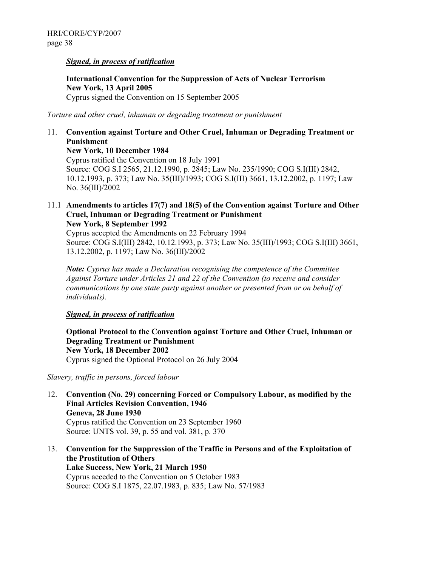#### *Signed, in process of ratification*

**International Convention for the Suppression of Acts of Nuclear Terrorism New York, 13 April 2005**  Cyprus signed the Convention on 15 September 2005

*Torture and other cruel, inhuman or degrading treatment or punishment* 

#### 11. **Convention against Torture and Other Cruel, Inhuman or Degrading Treatment or Punishment New York, 10 December 1984**  Cyprus ratified the Convention on 18 July 1991 Source: COG S.I 2565, 21.12.1990, p. 2845; Law No. 235/1990; COG S.I(III) 2842, 10.12.1993, p. 373; Law No. 35(III)/1993; COG S.I(III) 3661, 13.12.2002, p. 1197; Law No. 36(III)/2002

#### 11.1 **Amendments to articles 17(7) and 18(5) of the Convention against Torture and Other Cruel, Inhuman or Degrading Treatment or Punishment New York, 8 September 1992**

Cyprus accepted the Amendments on 22 February 1994 Source: COG S.I(III) 2842, 10.12.1993, p. 373; Law No. 35(III)/1993; COG S.I(III) 3661, 13.12.2002, p. 1197; Law No. 36(III)/2002

*Note: Cyprus has made a Declaration recognising the competence of the Committee Against Torture under Articles 21 and 22 of the Convention (to receive and consider communications by one state party against another or presented from or on behalf of individuals).* 

#### *Signed, in process of ratification*

**Optional Protocol to the Convention against Torture and Other Cruel, Inhuman or Degrading Treatment or Punishment New York, 18 December 2002**  Cyprus signed the Optional Protocol on 26 July 2004

*Slavery, traffic in persons, forced labour* 

- 12. **Convention (No. 29) concerning Forced or Compulsory Labour, as modified by the Final Articles Revision Convention, 1946 Geneva, 28 June 1930**  Cyprus ratified the Convention on 23 September 1960 Source: UNTS vol. 39, p. 55 and vol. 381, p. 370
- 13. **Convention for the Suppression of the Traffic in Persons and of the Exploitation of the Prostitution of Others Lake Success, New York, 21 March 1950**  Cyprus acceded to the Convention on 5 October 1983 Source: COG S.I 1875, 22.07.1983, p. 835; Law No. 57/1983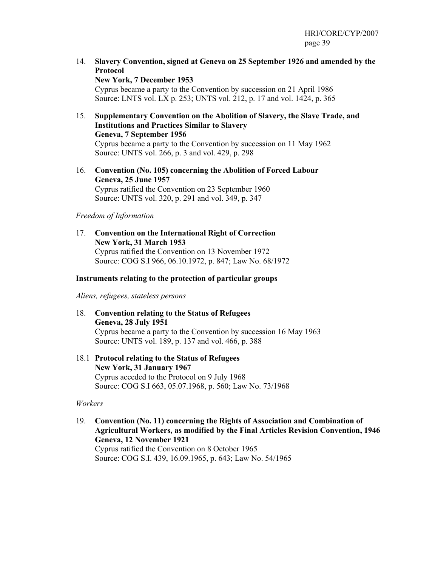14. **Slavery Convention, signed at Geneva on 25 September 1926 and amended by the Protocol** 

**New York, 7 December 1953**  Cyprus became a party to the Convention by succession on 21 April 1986 Source: LNTS vol. LX p. 253; UNTS vol. 212, p. 17 and vol. 1424, p. 365

- 15. **Supplementary Convention on the Abolition of Slavery, the Slave Trade, and Institutions and Practices Similar to Slavery Geneva, 7 September 1956**  Cyprus became a party to the Convention by succession on 11 May 1962 Source: UNTS vol. 266, p. 3 and vol. 429, p. 298
- 16. **Convention (No. 105) concerning the Abolition of Forced Labour Geneva, 25 June 1957**  Cyprus ratified the Convention on 23 September 1960 Source: UNTS vol. 320, p. 291 and vol. 349, p. 347

#### *Freedom of Information*

17. **Convention on the International Right of Correction New York, 31 March 1953**  Cyprus ratified the Convention on 13 November 1972 Source: COG S.I 966, 06.10.1972, p. 847; Law No. 68/1972

#### **Instruments relating to the protection of particular groups**

*Aliens, refugees, stateless persons* 

- 18. **Convention relating to the Status of Refugees Geneva, 28 July 1951**  Cyprus became a party to the Convention by succession 16 May 1963 Source: UNTS vol. 189, p. 137 and vol. 466, p. 388
- 18.1 **Protocol relating to the Status of Refugees New York, 31 January 1967**  Cyprus acceded to the Protocol on 9 July 1968 Source: COG S.I 663, 05.07.1968, p. 560; Law No. 73/1968

#### *Workers*

19. **Convention (No. 11) concerning the Rights of Association and Combination of Agricultural Workers, as modified by the Final Articles Revision Convention, 1946 Geneva, 12 November 1921**  Cyprus ratified the Convention on 8 October 1965 Source: COG S.I. 439, 16.09.1965, p. 643; Law No. 54/1965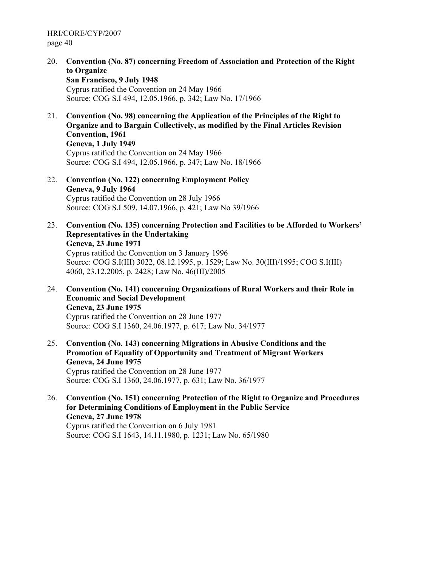20. **Convention (No. 87) concerning Freedom of Association and Protection of the Right to Organize** 

**San Francisco, 9 July 1948**  Cyprus ratified the Convention on 24 May 1966 Source: COG S.I 494, 12.05.1966, p. 342; Law No. 17/1966

21. **Convention (No. 98) concerning the Application of the Principles of the Right to Organize and to Bargain Collectively, as modified by the Final Articles Revision Convention, 1961** 

**Geneva, 1 July 1949**  Cyprus ratified the Convention on 24 May 1966 Source: COG S.I 494, 12.05.1966, p. 347; Law No. 18/1966

- 22. **Convention (No. 122) concerning Employment Policy Geneva, 9 July 1964**  Cyprus ratified the Convention on 28 July 1966 Source: COG S.I 509, 14.07.1966, p. 421; Law No 39/1966
- 23. **Convention (No. 135) concerning Protection and Facilities to be Afforded to Workers' Representatives in the Undertaking Geneva, 23 June 1971**  Cyprus ratified the Convention on 3 January 1996 Source: COG S.I(III) 3022, 08.12.1995, p. 1529; Law No. 30(III)/1995; COG S.I(III) 4060, 23.12.2005, p. 2428; Law No. 46(III)/2005
- 24. **Convention (No. 141) concerning Organizations of Rural Workers and their Role in Economic and Social Development Geneva, 23 June 1975**  Cyprus ratified the Convention on 28 June 1977 Source: COG S.I 1360, 24.06.1977, p. 617; Law No. 34/1977
- 25. **Convention (No. 143) concerning Migrations in Abusive Conditions and the Promotion of Equality of Opportunity and Treatment of Migrant Workers Geneva, 24 June 1975**  Cyprus ratified the Convention on 28 June 1977 Source: COG S.I 1360, 24.06.1977, p. 631; Law No. 36/1977
- 26. **Convention (No. 151) concerning Protection of the Right to Organize and Procedures for Determining Conditions of Employment in the Public Service Geneva, 27 June 1978**  Cyprus ratified the Convention on 6 July 1981 Source: COG S.I 1643, 14.11.1980, p. 1231; Law No. 65/1980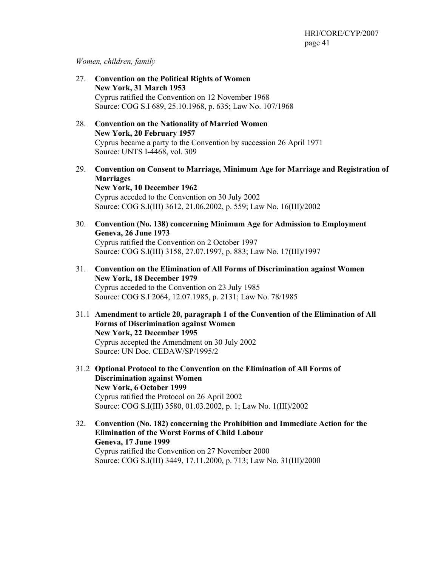#### *Women, children, family*

- 27. **Convention on the Political Rights of Women New York, 31 March 1953**  Cyprus ratified the Convention on 12 November 1968 Source: COG S.I 689, 25.10.1968, p. 635; Law No. 107/1968
- 28. **Convention on the Nationality of Married Women New York, 20 February 1957**  Cyprus became a party to the Convention by succession 26 April 1971 Source: UNTS I-4468, vol. 309
- 29. **Convention on Consent to Marriage, Minimum Age for Marriage and Registration of Marriages New York, 10 December 1962**  Cyprus acceded to the Convention on 30 July 2002 Source: COG S.I(III) 3612, 21.06.2002, p. 559; Law No. 16(III)/2002
- 30. **Convention (No. 138) concerning Minimum Age for Admission to Employment Geneva, 26 June 1973**  Cyprus ratified the Convention on 2 October 1997 Source: COG S.I(III) 3158, 27.07.1997, p. 883; Law No. 17(III)/1997
- 31. **Convention on the Elimination of All Forms of Discrimination against Women New York, 18 December 1979**  Cyprus acceded to the Convention on 23 July 1985 Source: COG S.I 2064, 12.07.1985, p. 2131; Law No. 78/1985
- 31.1 **Amendment to article 20, paragraph 1 of the Convention of the Elimination of All Forms of Discrimination against Women New York, 22 December 1995**  Cyprus accepted the Amendment on 30 July 2002 Source: UN Doc. CEDAW/SP/1995/2
- 31.2 **Optional Protocol to the Convention on the Elimination of All Forms of Discrimination against Women New York, 6 October 1999**  Cyprus ratified the Protocol on 26 April 2002 Source: COG S.I(III) 3580, 01.03.2002, p. 1; Law No. 1(III)/2002
- 32. **Convention (No. 182) concerning the Prohibition and Immediate Action for the Elimination of the Worst Forms of Child Labour Geneva, 17 June 1999**  Cyprus ratified the Convention on 27 November 2000 Source: COG S.I(III) 3449, 17.11.2000, p. 713; Law No. 31(III)/2000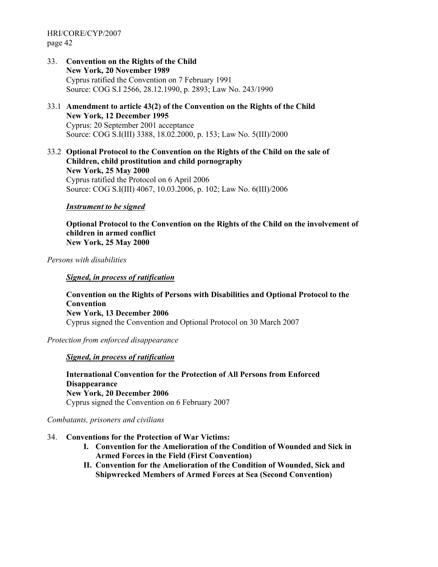- 33. **Convention on the Rights of the Child New York, 20 November 1989**  Cyprus ratified the Convention on 7 February 1991 Source: COG S.I 2566, 28.12.1990, p. 2893; Law No. 243/1990
- 33.1 **Amendment to article 43(2) of the Convention on the Rights of the Child New York, 12 December 1995**  Cyprus: 20 September 2001 acceptance Source: COG S.I(III) 3388, 18.02.2000, p. 153; Law No. 5(III)/2000
- 33.2 **Optional Protocol to the Convention on the Rights of the Child on the sale of Children, child prostitution and child pornography New York, 25 May 2000**  Cyprus ratified the Protocol on 6 April 2006 Source: COG S.I(III) 4067, 10.03.2006, p. 102; Law No. 6(III)/2006

#### *Instrument to be signed*

**Optional Protocol to the Convention on the Rights of the Child on the involvement of children in armed conflict New York, 25 May 2000** 

*Persons with disabilities* 

#### *Signed, in process of ratification*

**Convention on the Rights of Persons with Disabilities and Optional Protocol to the Convention New York, 13 December 2006**  Cyprus signed the Convention and Optional Protocol on 30 March 2007

*Protection from enforced disappearance* 

#### *Signed, in process of ratification*

**International Convention for the Protection of All Persons from Enforced Disappearance New York, 20 December 2006**  Cyprus signed the Convention on 6 February 2007

*Combatants, prisoners and civilians* 

- 34. **Conventions for the Protection of War Victims:** 
	- **I. Convention for the Amelioration of the Condition of Wounded and Sick in Armed Forces in the Field (First Convention)**
	- **II. Convention for the Amelioration of the Condition of Wounded, Sick and Shipwrecked Members of Armed Forces at Sea (Second Convention)**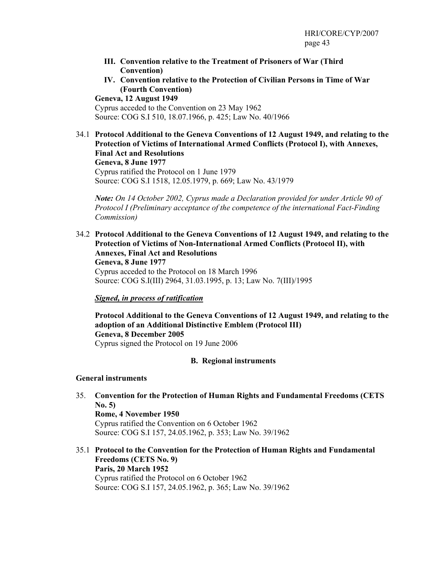- **III. Convention relative to the Treatment of Prisoners of War (Third Convention)**
- **IV. Convention relative to the Protection of Civilian Persons in Time of War (Fourth Convention)**

**Geneva, 12 August 1949**  Cyprus acceded to the Convention on 23 May 1962 Source: COG S.I 510, 18.07.1966, p. 425; Law No. 40/1966

34.1 **Protocol Additional to the Geneva Conventions of 12 August 1949, and relating to the Protection of Victims of International Armed Conflicts (Protocol I), with Annexes, Final Act and Resolutions Geneva, 8 June 1977**  Cyprus ratified the Protocol on 1 June 1979 Source: COG S.I 1518, 12.05.1979, p. 669; Law No. 43/1979

*Note: On 14 October 2002, Cyprus made a Declaration provided for under Article 90 of Protocol I (Preliminary acceptance of the competence of the international Fact-Finding Commission)*

34.2 **Protocol Additional to the Geneva Conventions of 12 August 1949, and relating to the Protection of Victims of Non-International Armed Conflicts (Protocol II), with Annexes, Final Act and Resolutions Geneva, 8 June 1977** Cyprus acceded to the Protocol on 18 March 1996 Source: COG S.I(III) 2964, 31.03.1995, p. 13; Law No. 7(III)/1995

#### *Signed, in process of ratification*

**Protocol Additional to the Geneva Conventions of 12 August 1949, and relating to the adoption of an Additional Distinctive Emblem (Protocol III) Geneva, 8 December 2005**  Cyprus signed the Protocol on 19 June 2006

#### **B. Regional instruments**

#### **General instruments**

35. **Convention for the Protection of Human Rights and Fundamental Freedoms (CETS No. 5) Rome, 4 November 1950** 

Cyprus ratified the Convention on 6 October 1962 Source: COG S.I 157, 24.05.1962, p. 353; Law No. 39/1962

35.1 **Protocol to the Convention for the Protection of Human Rights and Fundamental Freedoms (CETS No. 9) Paris, 20 March 1952**  Cyprus ratified the Protocol on 6 October 1962 Source: COG S.I 157, 24.05.1962, p. 365; Law No. 39/1962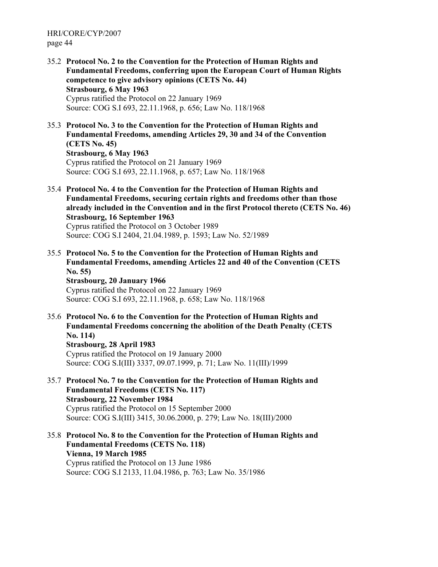- 35.2 **Protocol No. 2 to the Convention for the Protection of Human Rights and Fundamental Freedoms, conferring upon the European Court of Human Rights competence to give advisory opinions (CETS No. 44) Strasbourg, 6 May 1963**  Cyprus ratified the Protocol on 22 January 1969 Source: COG S.I 693, 22.11.1968, p. 656; Law No. 118/1968
- 35.3 **Protocol No. 3 to the Convention for the Protection of Human Rights and Fundamental Freedoms, amending Articles 29, 30 and 34 of the Convention (CETS No. 45) Strasbourg, 6 May 1963**  Cyprus ratified the Protocol on 21 January 1969 Source: COG S.I 693, 22.11.1968, p. 657; Law No. 118/1968
- 35.4 **Protocol No. 4 to the Convention for the Protection of Human Rights and Fundamental Freedoms, securing certain rights and freedoms other than those already included in the Convention and in the first Protocol thereto (CETS No. 46) Strasbourg, 16 September 1963**  Cyprus ratified the Protocol on 3 October 1989 Source: COG S.I 2404, 21.04.1989, p. 1593; Law No. 52/1989
- 35.5 **Protocol No. 5 to the Convention for the Protection of Human Rights and Fundamental Freedoms, amending Articles 22 and 40 of the Convention (CETS No. 55) Strasbourg, 20 January 1966**  Cyprus ratified the Protocol on 22 January 1969

Source: COG S.I 693, 22.11.1968, p. 658; Law No. 118/1968

- 35.6 **Protocol No. 6 to the Convention for the Protection of Human Rights and Fundamental Freedoms concerning the abolition of the Death Penalty (CETS No. 114) Strasbourg, 28 April 1983**  Cyprus ratified the Protocol on 19 January 2000 Source: COG S.I(III) 3337, 09.07.1999, p. 71; Law No. 11(III)/1999
- 35.7 **Protocol No. 7 to the Convention for the Protection of Human Rights and Fundamental Freedoms (CETS No. 117) Strasbourg, 22 November 1984**  Cyprus ratified the Protocol on 15 September 2000 Source: COG S.I(III) 3415, 30.06.2000, p. 279; Law No. 18(III)/2000
- 35.8 **Protocol No. 8 to the Convention for the Protection of Human Rights and Fundamental Freedoms (CETS No. 118) Vienna, 19 March 1985**  Cyprus ratified the Protocol on 13 June 1986 Source: COG S.I 2133, 11.04.1986, p. 763; Law No. 35/1986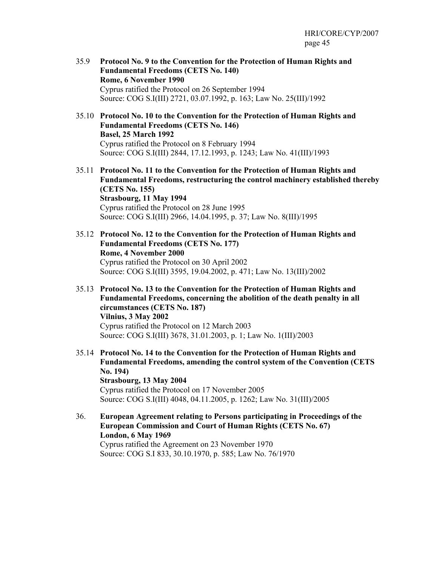- 35.9 **Protocol No. 9 to the Convention for the Protection of Human Rights and Fundamental Freedoms (CETS No. 140) Rome, 6 November 1990**  Cyprus ratified the Protocol on 26 September 1994 Source: COG S.I(III) 2721, 03.07.1992, p. 163; Law No. 25(III)/1992
- 35.10 **Protocol No. 10 to the Convention for the Protection of Human Rights and Fundamental Freedoms (CETS No. 146) Basel, 25 March 1992**  Cyprus ratified the Protocol on 8 February 1994 Source: COG S.I(III) 2844, 17.12.1993, p. 1243; Law No. 41(III)/1993
- 35.11 **Protocol No. 11 to the Convention for the Protection of Human Rights and Fundamental Freedoms, restructuring the control machinery established thereby (CETS No. 155) Strasbourg, 11 May 1994**  Cyprus ratified the Protocol on 28 June 1995 Source: COG S.I(III) 2966, 14.04.1995, p. 37; Law No. 8(III)/1995
- 35.12 **Protocol No. 12 to the Convention for the Protection of Human Rights and Fundamental Freedoms (CETS No. 177) Rome, 4 November 2000**  Cyprus ratified the Protocol on 30 April 2002 Source: COG S.I(III) 3595, 19.04.2002, p. 471; Law No. 13(III)/2002
- 35.13 **Protocol No. 13 to the Convention for the Protection of Human Rights and Fundamental Freedoms, concerning the abolition of the death penalty in all circumstances (CETS No. 187) Vilnius, 3 May 2002**  Cyprus ratified the Protocol on 12 March 2003 Source: COG S.I(III) 3678, 31.01.2003, p. 1; Law No. 1(III)/2003
- 35.14 **Protocol No. 14 to the Convention for the Protection of Human Rights and Fundamental Freedoms, amending the control system of the Convention (CETS No. 194) Strasbourg, 13 May 2004**  Cyprus ratified the Protocol on 17 November 2005 Source: COG S.I(III) 4048, 04.11.2005, p. 1262; Law No. 31(III)/2005
- 36. **European Agreement relating to Persons participating in Proceedings of the European Commission and Court of Human Rights (CETS No. 67) London, 6 May 1969**  Cyprus ratified the Agreement on 23 November 1970 Source: COG S.I 833, 30.10.1970, p. 585; Law No. 76/1970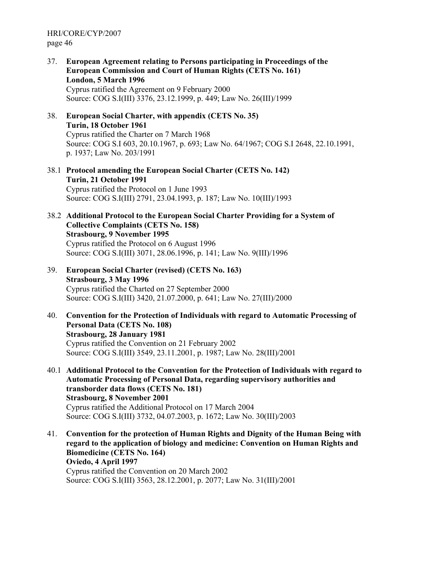37. **European Agreement relating to Persons participating in Proceedings of the European Commission and Court of Human Rights (CETS No. 161) London, 5 March 1996**  Cyprus ratified the Agreement on 9 February 2000

Source: COG S.I(III) 3376, 23.12.1999, p. 449; Law No. 26(III)/1999

- 38. **European Social Charter, with appendix (CETS No. 35) Turin, 18 October 1961**  Cyprus ratified the Charter on 7 March 1968 Source: COG S.I 603, 20.10.1967, p. 693; Law No. 64/1967; COG S.I 2648, 22.10.1991, p. 1937; Law No. 203/1991
- 38.1 **Protocol amending the European Social Charter (CETS No. 142) Turin, 21 October 1991**  Cyprus ratified the Protocol on 1 June 1993 Source: COG S.I(III) 2791, 23.04.1993, p. 187; Law No. 10(III)/1993
- 38.2 **Additional Protocol to the European Social Charter Providing for a System of Collective Complaints (CETS No. 158) Strasbourg, 9 November 1995**  Cyprus ratified the Protocol on 6 August 1996 Source: COG S.I(III) 3071, 28.06.1996, p. 141; Law No. 9(III)/1996
- 39. **European Social Charter (revised) (CETS No. 163) Strasbourg, 3 May 1996**  Cyprus ratified the Charted on 27 September 2000 Source: COG S.I(III) 3420, 21.07.2000, p. 641; Law No. 27(III)/2000
- 40. **Convention for the Protection of Individuals with regard to Automatic Processing of Personal Data (CETS No. 108) Strasbourg, 28 January 1981**  Cyprus ratified the Convention on 21 February 2002 Source: COG S.I(III) 3549, 23.11.2001, p. 1987; Law No. 28(III)/2001
- 40.1 **Additional Protocol to the Convention for the Protection of Individuals with regard to Automatic Processing of Personal Data, regarding supervisory authorities and transborder data flows (CETS No. 181) Strasbourg, 8 November 2001**  Cyprus ratified the Additional Protocol on 17 March 2004 Source: COG S.I(III) 3732, 04.07.2003, p. 1672; Law No. 30(III)/2003
- 41. **Convention for the protection of Human Rights and Dignity of the Human Being with regard to the application of biology and medicine: Convention on Human Rights and Biomedicine (CETS No. 164) Oviedo, 4 April 1997**  Cyprus ratified the Convention on 20 March 2002 Source: COG S.I(III) 3563, 28.12.2001, p. 2077; Law No. 31(III)/2001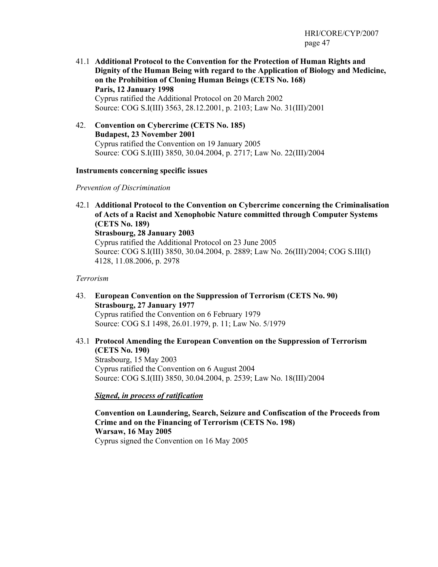- 41.1 **Additional Protocol to the Convention for the Protection of Human Rights and Dignity of the Human Being with regard to the Application of Biology and Medicine, on the Prohibition of Cloning Human Beings (CETS No. 168) Paris, 12 January 1998**  Cyprus ratified the Additional Protocol on 20 March 2002 Source: COG S.I(III) 3563, 28.12.2001, p. 2103; Law No. 31(III)/2001
- 42. **Convention on Cybercrime (CETS No. 185) Budapest, 23 November 2001**  Cyprus ratified the Convention on 19 January 2005 Source: COG S.I(III) 3850, 30.04.2004, p. 2717; Law No. 22(III)/2004

#### **Instruments concerning specific issues**

#### *Prevention of Discrimination*

42.1 **Additional Protocol to the Convention on Cybercrime concerning the Criminalisation of Acts of a Racist and Xenophobic Nature committed through Computer Systems (CETS No. 189) Strasbourg, 28 January 2003**  Cyprus ratified the Additional Protocol on 23 June 2005 Source: COG S.I(III) 3850, 30.04.2004, p. 2889; Law No. 26(III)/2004; COG S.III(I) 4128, 11.08.2006, p. 2978

#### *Terrorism*

- 43. **European Convention on the Suppression of Terrorism (CETS No. 90) Strasbourg, 27 January 1977**  Cyprus ratified the Convention on 6 February 1979 Source: COG S.I 1498, 26.01.1979, p. 11; Law No. 5/1979
- 43.1 **Protocol Amending the European Convention on the Suppression of Terrorism (CETS No. 190)**  Strasbourg, 15 May 2003 Cyprus ratified the Convention on 6 August 2004 Source: COG S.I(III) 3850, 30.04.2004, p. 2539; Law No. 18(III)/2004

*Signed, in process of ratification*

**Convention on Laundering, Search, Seizure and Confiscation of the Proceeds from Crime and on the Financing of Terrorism (CETS No. 198) Warsaw, 16 May 2005**  Cyprus signed the Convention on 16 May 2005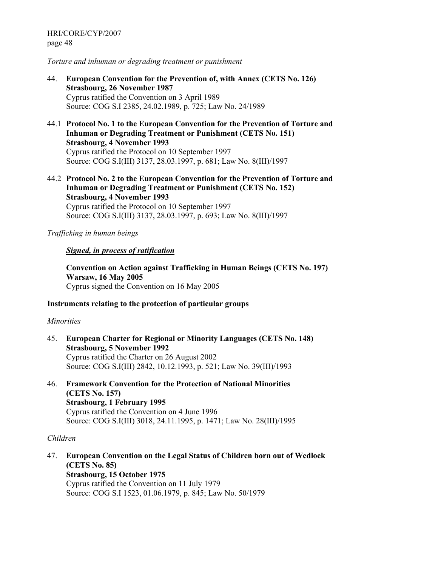#### *Torture and inhuman or degrading treatment or punishment*

- 44. **European Convention for the Prevention of, with Annex (CETS No. 126) Strasbourg, 26 November 1987**  Cyprus ratified the Convention on 3 April 1989 Source: COG S.I 2385, 24.02.1989, p. 725; Law No. 24/1989
- 44.1 **Protocol No. 1 to the European Convention for the Prevention of Torture and Inhuman or Degrading Treatment or Punishment (CETS No. 151) Strasbourg, 4 November 1993**  Cyprus ratified the Protocol on 10 September 1997 Source: COG S.I(III) 3137, 28.03.1997, p. 681; Law No. 8(III)/1997
- 44.2 **Protocol No. 2 to the European Convention for the Prevention of Torture and Inhuman or Degrading Treatment or Punishment (CETS No. 152) Strasbourg, 4 November 1993**  Cyprus ratified the Protocol on 10 September 1997

Source: COG S.I(III) 3137, 28.03.1997, p. 693; Law No. 8(III)/1997

#### *Trafficking in human beings*

#### *Signed, in process of ratification*

**Convention on Action against Trafficking in Human Beings (CETS No. 197) Warsaw, 16 May 2005**  Cyprus signed the Convention on 16 May 2005

#### **Instruments relating to the protection of particular groups**

#### *Minorities*

- 45. **European Charter for Regional or Minority Languages (CETS No. 148) Strasbourg, 5 November 1992**  Cyprus ratified the Charter on 26 August 2002 Source: COG S.I(III) 2842, 10.12.1993, p. 521; Law No. 39(III)/1993
- 46. **Framework Convention for the Protection of National Minorities (CETS No. 157) Strasbourg, 1 February 1995**  Cyprus ratified the Convention on 4 June 1996 Source: COG S.I(III) 3018, 24.11.1995, p. 1471; Law No. 28(III)/1995

#### *Children*

47. **European Convention on the Legal Status of Children born out of Wedlock (CETS No. 85) Strasbourg, 15 October 1975**  Cyprus ratified the Convention on 11 July 1979 Source: COG S.I 1523, 01.06.1979, p. 845; Law No. 50/1979